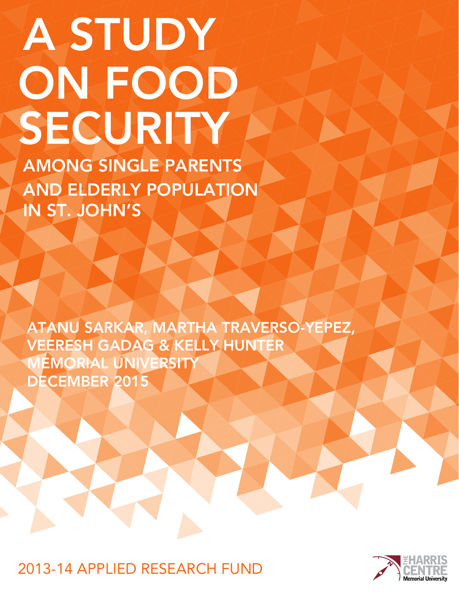# **A STUDY** SECURITY ON FOOD

AMONG SINGLE PARENTS AND ELDERLY POPULATION IN ST. JOHN'S

ATANU SARKAR, MARTHA TRAVERSO-YEPEZ, VEERESH GADAG & KELLY HUNTER MEMORIAL UNIVERSITY DECEMBER 2015

2013-14 APPLIED RESEARCH FUND

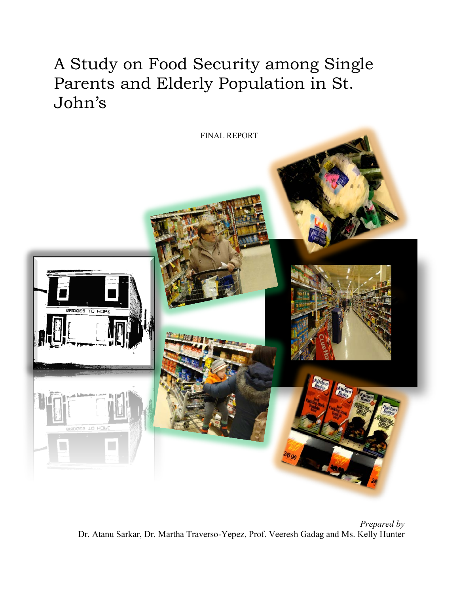A Study on Food Security among Single Parents and Elderly Population in St. John's



*Prepared by* Dr. Atanu Sarkar, Dr. Martha Traverso-Yepez, Prof. Veeresh Gadag and Ms. Kelly Hunter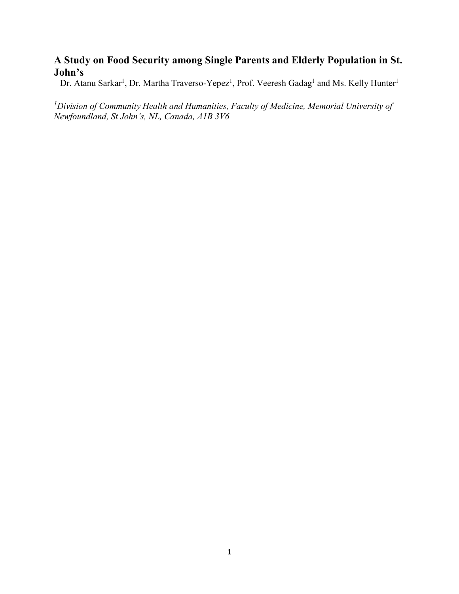# **A Study on Food Security among Single Parents and Elderly Population in St. John's**

Dr. Atanu Sarkar<sup>1</sup>, Dr. Martha Traverso-Yepez<sup>1</sup>, Prof. Veeresh Gadag<sup>1</sup> and Ms. Kelly Hunter<sup>1</sup>

<sup>1</sup> Division of Community Health and Humanities, Faculty of Medicine, Memorial University of *Newfoundland, St John's, NL, Canada, A1B 3V6*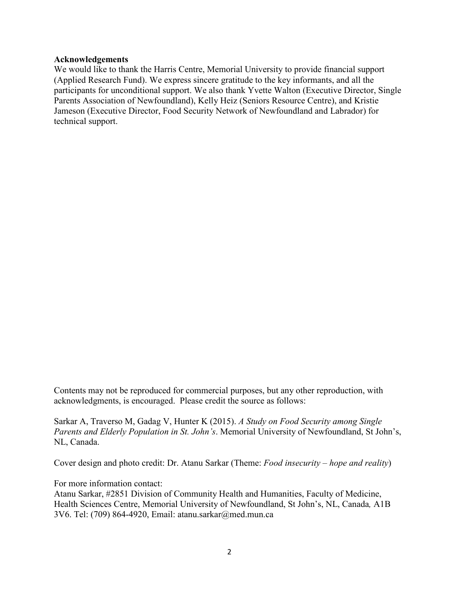## **Acknowledgements**

We would like to thank the Harris Centre, Memorial University to provide financial support (Applied Research Fund). We express sincere gratitude to the key informants, and all the participants for unconditional support. We also thank Yvette Walton (Executive Director, Single Parents Association of Newfoundland), Kelly Heiz (Seniors Resource Centre), and Kristie Jameson (Executive Director, Food Security Network of Newfoundland and Labrador) for technical support.

Contents may not be reproduced for commercial purposes, but any other reproduction, with acknowledgments, is encouraged. Please credit the source as follows:

Sarkar A, Traverso M, Gadag V, Hunter K (2015). *A Study on Food Security among Single Parents and Elderly Population in St. John's*. Memorial University of Newfoundland, St John's, NL, Canada.

Cover design and photo credit: Dr. Atanu Sarkar (Theme: *Food insecurity – hope and reality*)

For more information contact:

Atanu Sarkar, #2851 Division of Community Health and Humanities, Faculty of Medicine, Health Sciences Centre, Memorial University of Newfoundland, St John's, NL, Canada*,* A1B 3V6. Tel: (709) 864-4920, Email: [atanu.sarkar@med.mun.ca](mailto:rschiff@mun.ca)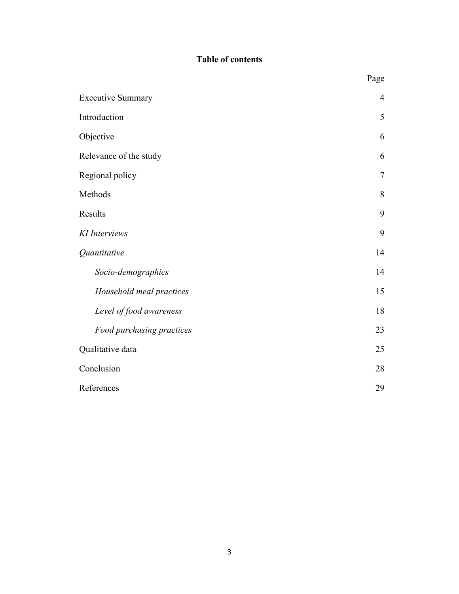# **Table of contents**

| <b>Executive Summary</b>  | $\overline{4}$ |
|---------------------------|----------------|
| Introduction              | 5              |
| Objective                 | 6              |
| Relevance of the study    | 6              |
| Regional policy           | $\tau$         |
| Methods                   | 8              |
| Results                   | 9              |
| KI Interviews             | 9              |
| Quantitative              | 14             |
| Socio-demographics        | 14             |
| Household meal practices  | 15             |
| Level of food awareness   | 18             |
| Food purchasing practices | 23             |
| Qualitative data          | 25             |
| Conclusion                | 28             |
| References                | 29             |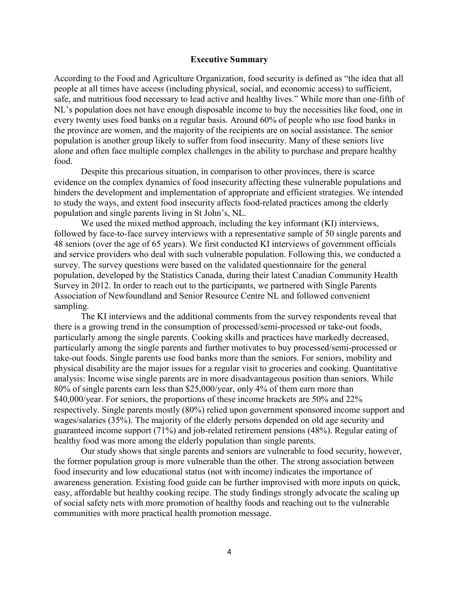#### **Executive Summary**

According to the Food and Agriculture Organization, food security is defined as "the idea that all people at all times have access (including physical, social, and economic access) to sufficient, safe, and nutritious food necessary to lead active and healthy lives." While more than one-fifth of NL's population does not have enough disposable income to buy the necessities like food, one in every twenty uses food banks on a regular basis. Around 60% of people who use food banks in the province are women, and the majority of the recipients are on social assistance. The senior population is another group likely to suffer from food insecurity. Many of these seniors live alone and often face multiple complex challenges in the ability to purchase and prepare healthy food.

Despite this precarious situation, in comparison to other provinces, there is scarce evidence on the complex dynamics of food insecurity affecting these vulnerable populations and hinders the development and implementation of appropriate and efficient strategies. We intended to study the ways, and extent food insecurity affects food-related practices among the elderly population and single parents living in St John's, NL.

We used the mixed method approach, including the key informant (KI) interviews, followed by face-to-face survey interviews with a representative sample of 50 single parents and 48 seniors (over the age of 65 years). We first conducted KI interviews of government officials and service providers who deal with such vulnerable population. Following this, we conducted a survey. The survey questions were based on the validated questionnaire for the general population, developed by the Statistics Canada, during their latest Canadian Community Health Survey in 2012. In order to reach out to the participants, we partnered with Single Parents Association of Newfoundland and Senior Resource Centre NL and followed convenient sampling.

The KI interviews and the additional comments from the survey respondents reveal that there is a growing trend in the consumption of processed/semi-processed or take-out foods, particularly among the single parents. Cooking skills and practices have markedly decreased, particularly among the single parents and further motivates to buy processed/semi-processed or take-out foods. Single parents use food banks more than the seniors. For seniors, mobility and physical disability are the major issues for a regular visit to groceries and cooking. Quantitative analysis: Income wise single parents are in more disadvantageous position than seniors. While 80% of single parents earn less than \$25,000/year, only 4% of them earn more than \$40,000/year. For seniors, the proportions of these income brackets are 50% and 22% respectively. Single parents mostly (80%) relied upon government sponsored income support and wages/salaries (35%). The majority of the elderly persons depended on old age security and guaranteed income support (71%) and job-related retirement pensions (48%). Regular eating of healthy food was more among the elderly population than single parents.

Our study shows that single parents and seniors are vulnerable to food security, however, the former population group is more vulnerable than the other. The strong association between food insecurity and low educational status (not with income) indicates the importance of awareness generation. Existing food guide can be further improvised with more inputs on quick, easy, affordable but healthy cooking recipe. The study findings strongly advocate the scaling up of social safety nets with more promotion of healthy foods and reaching out to the vulnerable communities with more practical health promotion message.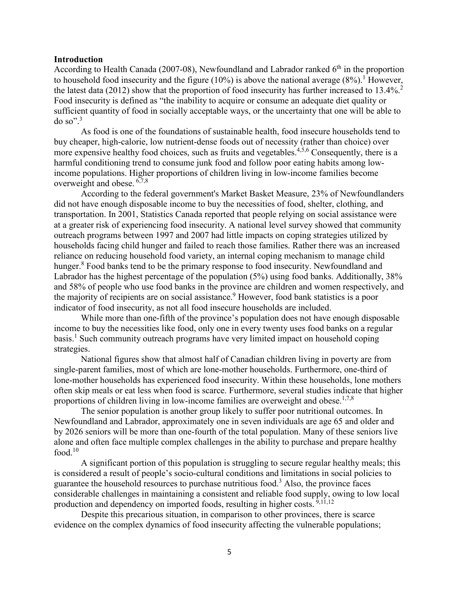#### **Introduction**

According to Health Canada (2007-08), Newfoundland and Labrador ranked  $6<sup>th</sup>$  in the proportion to household food insecurity and the figure (10%) is above the national average  $(8\%)$ . However, the latest data (2012) show that the proportion of food insecurity has further increased to  $13.4\%$ <sup>2</sup>. Food insecurity is defined as "the inability to acquire or consume an adequate diet quality or sufficient quantity of food in socially acceptable ways, or the uncertainty that one will be able to do so". 3

As food is one of the foundations of sustainable health, food insecure households tend to buy cheaper, high-calorie, low nutrient-dense foods out of necessity (rather than choice) over more expensive healthy food choices, such as fruits and vegetables.<sup>4,5,6</sup> Consequently, there is a harmful conditioning trend to consume junk food and follow poor eating habits among lowincome populations. Higher proportions of children living in low-income families become overweight and obese. 6,7,8

According to the federal government's Market Basket Measure, 23% of Newfoundlanders did not have enough disposable income to buy the necessities of food, shelter, clothing, and transportation. In 2001, Statistics Canada reported that people relying on social assistance were at a greater risk of experiencing food insecurity. A national level survey showed that community outreach programs between 1997 and 2007 had little impacts on coping strategies utilized by households facing child hunger and failed to reach those families. Rather there was an increased reliance on reducing household food variety, an internal coping mechanism to manage child hunger.<sup>8</sup> Food banks tend to be the primary response to food insecurity. Newfoundland and Labrador has the highest percentage of the population (5%) using food banks. Additionally, 38% and 58% of people who use food banks in the province are children and women respectively, and the majority of recipients are on social assistance.<sup>9</sup> However, food bank statistics is a poor indicator of food insecurity, as not all food insecure households are included.

While more than one-fifth of the province's population does not have enough disposable income to buy the necessities like food, only one in every twenty uses food banks on a regular basis. <sup>1</sup> Such community outreach programs have very limited impact on household coping strategies.

National figures show that almost half of Canadian children living in poverty are from single-parent families, most of which are lone-mother households. Furthermore, one-third of lone-mother households has experienced food insecurity. Within these households, lone mothers often skip meals or eat less when food is scarce. Furthermore, several studies indicate that higher proportions of children living in low-income families are overweight and obese.<sup>1,7,8</sup>

The senior population is another group likely to suffer poor nutritional outcomes. In Newfoundland and Labrador, approximately one in seven individuals are age 65 and older and by 2026 seniors will be more than one-fourth of the total population. Many of these seniors live alone and often face multiple complex challenges in the ability to purchase and prepare healthy food. $10$ 

A significant portion of this population is struggling to secure regular healthy meals; this is considered a result of people's socio-cultural conditions and limitations in social policies to guarantee the household resources to purchase nutritious food.3 Also, the province faces considerable challenges in maintaining a consistent and reliable food supply, owing to low local production and dependency on imported foods, resulting in higher costs.  $9,11,12$ 

Despite this precarious situation, in comparison to other provinces, there is scarce evidence on the complex dynamics of food insecurity affecting the vulnerable populations;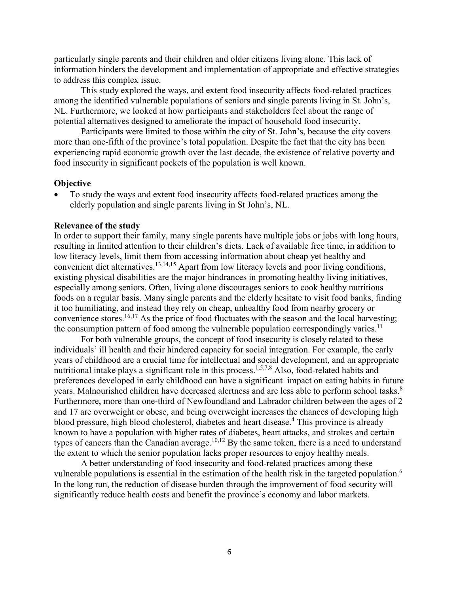particularly single parents and their children and older citizens living alone. This lack of information hinders the development and implementation of appropriate and effective strategies to address this complex issue.

This study explored the ways, and extent food insecurity affects food-related practices among the identified vulnerable populations of seniors and single parents living in St. John's, NL. Furthermore, we looked at how participants and stakeholders feel about the range of potential alternatives designed to ameliorate the impact of household food insecurity.

Participants were limited to those within the city of St. John's, because the city covers more than one-fifth of the province's total population. Despite the fact that the city has been experiencing rapid economic growth over the last decade, the existence of relative poverty and food insecurity in significant pockets of the population is well known.

## **Objective**

To study the ways and extent food insecurity affects food-related practices among the elderly population and single parents living in St John's, NL.

#### **Relevance of the study**

In order to support their family, many single parents have multiple jobs or jobs with long hours, resulting in limited attention to their children's diets. Lack of available free time, in addition to low literacy levels, limit them from accessing information about cheap yet healthy and convenient diet alternatives.<sup>13,14,15</sup> Apart from low literacy levels and poor living conditions, existing physical disabilities are the major hindrances in promoting healthy living initiatives, especially among seniors. Often, living alone discourages seniors to cook healthy nutritious foods on a regular basis. Many single parents and the elderly hesitate to visit food banks, finding it too humiliating, and instead they rely on cheap, unhealthy food from nearby grocery or convenience stores.<sup>16,17</sup> As the price of food fluctuates with the season and the local harvesting; the consumption pattern of food among the vulnerable population correspondingly varies.<sup>11</sup>

For both vulnerable groups, the concept of food insecurity is closely related to these individuals' ill health and their hindered capacity for social integration. For example, the early years of childhood are a crucial time for intellectual and social development, and an appropriate nutritional intake plays a significant role in this process.<sup>1,5,7,8</sup> Also, food-related habits and preferences developed in early childhood can have a significant impact on eating habits in future years. Malnourished children have decreased alertness and are less able to perform school tasks.<sup>8</sup> Furthermore, more than one-third of Newfoundland and Labrador children between the ages of 2 and 17 are overweight or obese, and being overweight increases the chances of developing high blood pressure, high blood cholesterol, diabetes and heart disease.<sup>4</sup> This province is already known to have a population with higher rates of diabetes, heart attacks, and strokes and certain types of cancers than the Canadian average.<sup>10,12</sup> By the same token, there is a need to understand the extent to which the senior population lacks proper resources to enjoy healthy meals.

A better understanding of food insecurity and food-related practices among these vulnerable populations is essential in the estimation of the health risk in the targeted population.6 In the long run, the reduction of disease burden through the improvement of food security will significantly reduce health costs and benefit the province's economy and labor markets.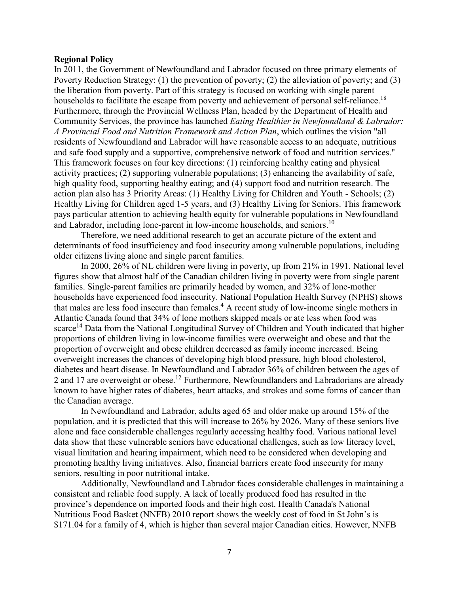#### **Regional Policy**

In 2011, the Government of Newfoundland and Labrador focused on three primary elements of Poverty Reduction Strategy: (1) the prevention of poverty; (2) the alleviation of poverty; and (3) the liberation from poverty. Part of this strategy is focused on working with single parent households to facilitate the escape from poverty and achievement of personal self-reliance.<sup>18</sup> Furthermore, through the Provincial Wellness Plan, headed by the Department of Health and Community Services, the province has launched *Eating Healthier in Newfoundland & Labrador: A Provincial Food and Nutrition Framework and Action Plan*, which outlines the vision "all residents of Newfoundland and Labrador will have reasonable access to an adequate, nutritious and safe food supply and a supportive, comprehensive network of food and nutrition services." This framework focuses on four key directions: (1) reinforcing healthy eating and physical activity practices; (2) supporting vulnerable populations; (3) enhancing the availability of safe, high quality food, supporting healthy eating; and (4) support food and nutrition research. The action plan also has 3 Priority Areas: (1) Healthy Living for Children and Youth - Schools; (2) Healthy Living for Children aged 1-5 years, and (3) Healthy Living for Seniors. This framework pays particular attention to achieving health equity for vulnerable populations in Newfoundland and Labrador, including lone-parent in low-income households, and seniors.<sup>10</sup>

Therefore, we need additional research to get an accurate picture of the extent and determinants of food insufficiency and food insecurity among vulnerable populations, including older citizens living alone and single parent families.

In 2000, 26% of NL children were living in poverty, up from 21% in 1991. National level figures show that almost half of the Canadian children living in poverty were from single parent families. Single-parent families are primarily headed by women, and 32% of lone-mother households have experienced food insecurity. National Population Health Survey (NPHS) shows that males are less food insecure than females. <sup>4</sup> A recent study of low-income single mothers in Atlantic Canada found that 34% of lone mothers skipped meals or ate less when food was scarce<sup>14</sup> Data from the National Longitudinal Survey of Children and Youth indicated that higher proportions of children living in low-income families were overweight and obese and that the proportion of overweight and obese children decreased as family income increased. Being overweight increases the chances of developing high blood pressure, high blood cholesterol, diabetes and heart disease. In Newfoundland and Labrador 36% of children between the ages of 2 and 17 are overweight or obese.<sup>12</sup> Furthermore, Newfoundlanders and Labradorians are already known to have higher rates of diabetes, heart attacks, and strokes and some forms of cancer than the Canadian average.

In Newfoundland and Labrador, adults aged 65 and older make up around 15% of the population, and it is predicted that this will increase to 26% by 2026. Many of these seniors live alone and face considerable challenges regularly accessing healthy food. Various national level data show that these vulnerable seniors have educational challenges, such as low literacy level, visual limitation and hearing impairment, which need to be considered when developing and promoting healthy living initiatives. Also, financial barriers create food insecurity for many seniors, resulting in poor nutritional intake.

Additionally, Newfoundland and Labrador faces considerable challenges in maintaining a consistent and reliable food supply. A lack of locally produced food has resulted in the province's dependence on imported foods and their high cost. Health Canada's National Nutritious Food Basket (NNFB) 2010 report shows the weekly cost of food in St John's is \$171.04 for a family of 4, which is higher than several major Canadian cities. However, NNFB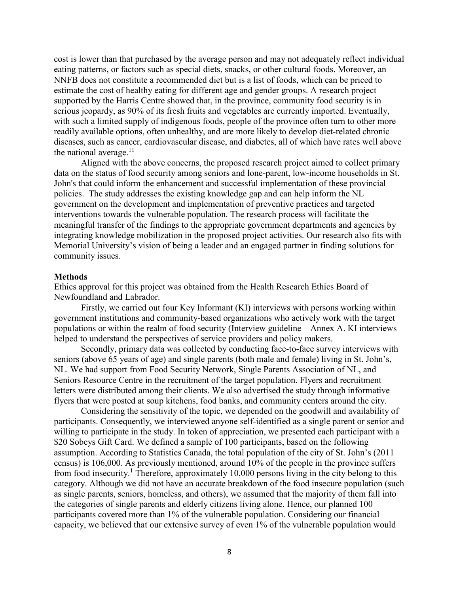cost is lower than that purchased by the average person and may not adequately reflect individual eating patterns, or factors such as special diets, snacks, or other cultural foods. Moreover, an NNFB does not constitute a recommended diet but is a list of foods, which can be priced to estimate the cost of healthy eating for different age and gender groups. A research project supported by the Harris Centre showed that, in the province, community food security is in serious jeopardy, as 90% of its fresh fruits and vegetables are currently imported. Eventually, with such a limited supply of indigenous foods, people of the province often turn to other more readily available options, often unhealthy, and are more likely to develop diet-related chronic diseases, such as cancer, cardiovascular disease, and diabetes, all of which have rates well above the national average. $11$ 

Aligned with the above concerns, the proposed research project aimed to collect primary data on the status of food security among seniors and lone-parent, low-income households in St. John's that could inform the enhancement and successful implementation of these provincial policies. The study addresses the existing knowledge gap and can help inform the NL government on the development and implementation of preventive practices and targeted interventions towards the vulnerable population. The research process will facilitate the meaningful transfer of the findings to the appropriate government departments and agencies by integrating knowledge mobilization in the proposed project activities. Our research also fits with Memorial University's vision of being a leader and an engaged partner in finding solutions for community issues.

#### **Methods**

Ethics approval for this project was obtained from the Health Research Ethics Board of Newfoundland and Labrador.

Firstly, we carried out four Key Informant (KI) interviews with persons working within government institutions and community-based organizations who actively work with the target populations or within the realm of food security (Interview guideline – Annex A. KI interviews helped to understand the perspectives of service providers and policy makers.

Secondly, primary data was collected by conducting face-to-face survey interviews with seniors (above 65 years of age) and single parents (both male and female) living in St. John's, NL. We had support from Food Security Network, Single Parents Association of NL, and Seniors Resource Centre in the recruitment of the target population. Flyers and recruitment letters were distributed among their clients. We also advertised the study through informative flyers that were posted at soup kitchens, food banks, and community centers around the city.

Considering the sensitivity of the topic, we depended on the goodwill and availability of participants. Consequently, we interviewed anyone self-identified as a single parent or senior and willing to participate in the study. In token of appreciation, we presented each participant with a \$20 Sobeys Gift Card. We defined a sample of 100 participants, based on the following assumption. According to Statistics Canada, the total population of the city of St. John's (2011 census) is 106,000. As previously mentioned, around 10% of the people in the province suffers from food insecurity.<sup>1</sup> Therefore, approximately 10,000 persons living in the city belong to this category. Although we did not have an accurate breakdown of the food insecure population (such as single parents, seniors, homeless, and others), we assumed that the majority of them fall into the categories of single parents and elderly citizens living alone. Hence, our planned 100 participants covered more than 1% of the vulnerable population. Considering our financial capacity, we believed that our extensive survey of even 1% of the vulnerable population would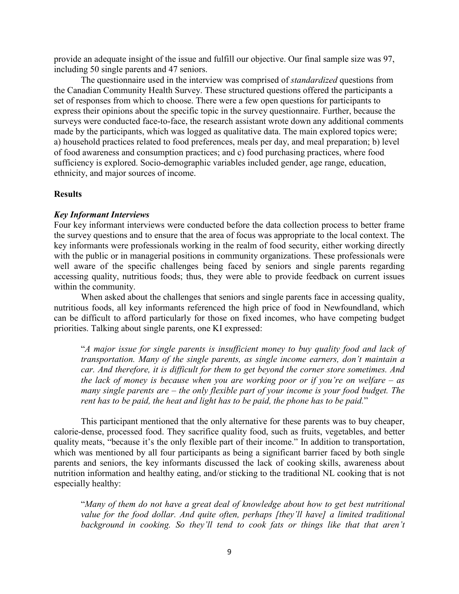provide an adequate insight of the issue and fulfill our objective. Our final sample size was 97, including 50 single parents and 47 seniors.

The questionnaire used in the interview was comprised of *standardized* questions from the Canadian Community Health Survey. These structured questions offered the participants a set of responses from which to choose. There were a few open questions for participants to express their opinions about the specific topic in the survey questionnaire. Further, because the surveys were conducted face-to-face, the research assistant wrote down any additional comments made by the participants, which was logged as qualitative data. The main explored topics were; a) household practices related to food preferences, meals per day, and meal preparation; b) level of food awareness and consumption practices; and c) food purchasing practices, where food sufficiency is explored. Socio-demographic variables included gender, age range, education, ethnicity, and major sources of income.

# **Results**

# *Key Informant Interviews*

Four key informant interviews were conducted before the data collection process to better frame the survey questions and to ensure that the area of focus was appropriate to the local context. The key informants were professionals working in the realm of food security, either working directly with the public or in managerial positions in community organizations. These professionals were well aware of the specific challenges being faced by seniors and single parents regarding accessing quality, nutritious foods; thus, they were able to provide feedback on current issues within the community.

When asked about the challenges that seniors and single parents face in accessing quality, nutritious foods, all key informants referenced the high price of food in Newfoundland, which can be difficult to afford particularly for those on fixed incomes, who have competing budget priorities. Talking about single parents, one KI expressed:

"*A major issue for single parents is insufficient money to buy quality food and lack of transportation. Many of the single parents, as single income earners, don't maintain a car. And therefore, it is difficult for them to get beyond the corner store sometimes. And the lack of money is because when you are working poor or if you're on welfare – as many single parents are – the only flexible part of your income is your food budget. The rent has to be paid, the heat and light has to be paid, the phone has to be paid.*"

This participant mentioned that the only alternative for these parents was to buy cheaper, calorie-dense, processed food. They sacrifice quality food, such as fruits, vegetables, and better quality meats, "because it's the only flexible part of their income." In addition to transportation, which was mentioned by all four participants as being a significant barrier faced by both single parents and seniors, the key informants discussed the lack of cooking skills, awareness about nutrition information and healthy eating, and/or sticking to the traditional NL cooking that is not especially healthy:

"*Many of them do not have a great deal of knowledge about how to get best nutritional value for the food dollar. And quite often, perhaps [they'll have] a limited traditional background in cooking. So they'll tend to cook fats or things like that that aren't*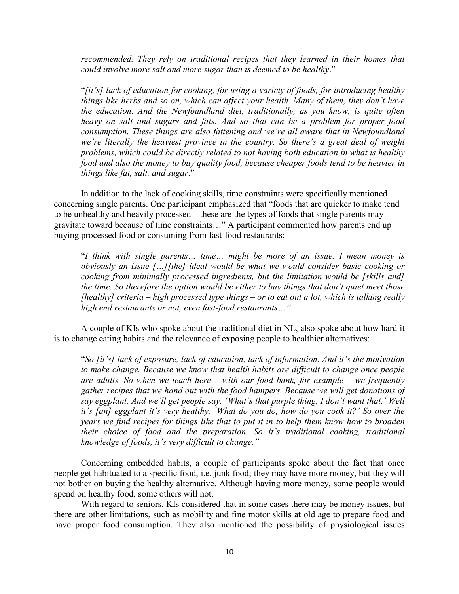recommended. They rely on traditional recipes that they learned in their homes that *could involve more salt and more sugar than is deemed to be healthy*."

"*[it's] lack of education for cooking, for using a variety of foods, for introducing healthy things like herbs and so on, which can affect your health. Many of them, they don't have the education. And the Newfoundland diet, traditionally, as you know, is quite often heavy on salt and sugars and fats. And so that can be a problem for proper food consumption. These things are also fattening and we're all aware that in Newfoundland we're literally the heaviest province in the country. So there's a great deal of weight problems, which could be directly related to not having both education in what is healthy food and also the money to buy quality food, because cheaper foods tend to be heavier in things like fat, salt, and sugar*."

In addition to the lack of cooking skills, time constraints were specifically mentioned concerning single parents. One participant emphasized that "foods that are quicker to make tend to be unhealthy and heavily processed – these are the types of foods that single parents may gravitate toward because of time constraints…" A participant commented how parents end up buying processed food or consuming from fast-food restaurants:

"*I think with single parents… time… might be more of an issue. I mean money is obviously an issue […][the] ideal would be what we would consider basic cooking or cooking from minimally processed ingredients, but the limitation would be [skills and] the time. So therefore the option would be either to buy things that don't quiet meet those [healthy] criteria – high processed type things – or to eat out a lot, which is talking really high end restaurants or not, even fast-food restaurants…"*

A couple of KIs who spoke about the traditional diet in NL, also spoke about how hard it is to change eating habits and the relevance of exposing people to healthier alternatives:

"*So [it's] lack of exposure, lack of education, lack of information. And it's the motivation to make change. Because we know that health habits are difficult to change once people are adults. So when we teach here – with our food bank, for example – we frequently gather recipes that we hand out with the food hampers. Because we will get donations of say eggplant. And we'll get people say, 'What's that purple thing, I don't want that.' Well it's [an] eggplant it's very healthy. 'What do you do, how do you cook it?' So over the years we find recipes for things like that to put it in to help them know how to broaden their choice of food and the preparation. So it's traditional cooking, traditional knowledge of foods, it's very difficult to change."*

Concerning embedded habits, a couple of participants spoke about the fact that once people get habituated to a specific food, i.e. junk food; they may have more money, but they will not bother on buying the healthy alternative. Although having more money, some people would spend on healthy food, some others will not.

With regard to seniors, KIs considered that in some cases there may be money issues, but there are other limitations, such as mobility and fine motor skills at old age to prepare food and have proper food consumption. They also mentioned the possibility of physiological issues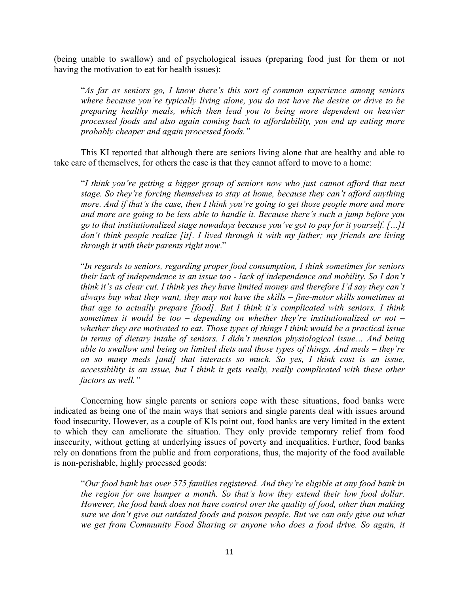(being unable to swallow) and of psychological issues (preparing food just for them or not having the motivation to eat for health issues):

"*As far as seniors go, I know there's this sort of common experience among seniors where because you're typically living alone, you do not have the desire or drive to be preparing healthy meals, which then lead you to being more dependent on heavier processed foods and also again coming back to affordability, you end up eating more probably cheaper and again processed foods."*

This KI reported that although there are seniors living alone that are healthy and able to take care of themselves, for others the case is that they cannot afford to move to a home:

"*I think you're getting a bigger group of seniors now who just cannot afford that next stage. So they're forcing themselves to stay at home, because they can't afford anything more. And if that's the case, then I think you're going to get those people more and more and more are going to be less able to handle it. Because there's such a jump before you go to that institutionalized stage nowadays because you've got to pay for it yourself. […]I don't think people realize [it]. I lived through it with my father; my friends are living through it with their parents right now*."

"*In regards to seniors, regarding proper food consumption, I think sometimes for seniors their lack of independence is an issue too - lack of independence and mobility. So I don't think it's as clear cut. I think yes they have limited money and therefore I'd say they can't always buy what they want, they may not have the skills – fine-motor skills sometimes at that age to actually prepare [food]. But I think it's complicated with seniors. I think sometimes it would be too – depending on whether they're institutionalized or not – whether they are motivated to eat. Those types of things I think would be a practical issue in terms of dietary intake of seniors. I didn't mention physiological issue… And being able to swallow and being on limited diets and those types of things. And meds – they're on so many meds [and] that interacts so much. So yes, I think cost is an issue, accessibility is an issue, but I think it gets really, really complicated with these other factors as well."*

Concerning how single parents or seniors cope with these situations, food banks were indicated as being one of the main ways that seniors and single parents deal with issues around food insecurity. However, as a couple of KIs point out, food banks are very limited in the extent to which they can ameliorate the situation. They only provide temporary relief from food insecurity, without getting at underlying issues of poverty and inequalities. Further, food banks rely on donations from the public and from corporations, thus, the majority of the food available is non-perishable, highly processed goods:

"*Our food bank has over 575 families registered. And they're eligible at any food bank in the region for one hamper a month. So that's how they extend their low food dollar. However, the food bank does not have control over the quality of food, other than making sure we don't give out outdated foods and poison people. But we can only give out what we get from Community Food Sharing or anyone who does a food drive. So again, it*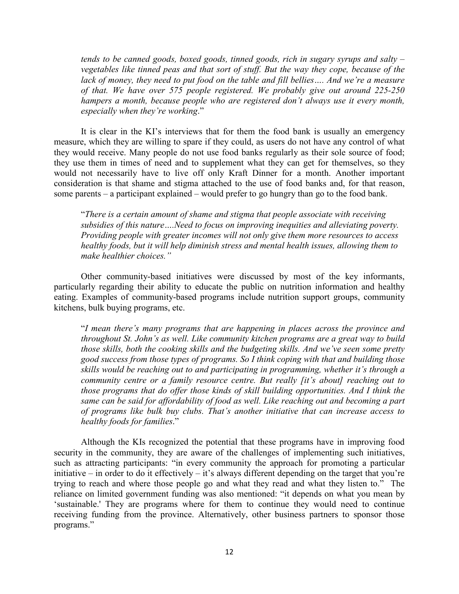*tends to be canned goods, boxed goods, tinned goods, rich in sugary syrups and salty – vegetables like tinned peas and that sort of stuff. But the way they cope, because of the lack of money, they need to put food on the table and fill bellies…. And we're a measure of that. We have over 575 people registered. We probably give out around 225-250 hampers a month, because people who are registered don't always use it every month, especially when they're working*."

It is clear in the KI's interviews that for them the food bank is usually an emergency measure, which they are willing to spare if they could, as users do not have any control of what they would receive. Many people do not use food banks regularly as their sole source of food; they use them in times of need and to supplement what they can get for themselves, so they would not necessarily have to live off only Kraft Dinner for a month. Another important consideration is that shame and stigma attached to the use of food banks and, for that reason, some parents – a participant explained – would prefer to go hungry than go to the food bank.

"*There is a certain amount of shame and stigma that people associate with receiving subsidies of this nature….Need to focus on improving inequities and alleviating poverty. Providing people with greater incomes will not only give them more resources to access healthy foods, but it will help diminish stress and mental health issues, allowing them to make healthier choices."*

Other community-based initiatives were discussed by most of the key informants, particularly regarding their ability to educate the public on nutrition information and healthy eating. Examples of community-based programs include nutrition support groups, community kitchens, bulk buying programs, etc.

"*I mean there's many programs that are happening in places across the province and throughout St. John's as well. Like community kitchen programs are a great way to build those skills, both the cooking skills and the budgeting skills. And we've seen some pretty good success from those types of programs. So I think coping with that and building those skills would be reaching out to and participating in programming, whether it's through a community centre or a family resource centre. But really [it's about] reaching out to those programs that do offer those kinds of skill building opportunities. And I think the same can be said for affordability of food as well. Like reaching out and becoming a part of programs like bulk buy clubs. That's another initiative that can increase access to healthy foods for families*."

Although the KIs recognized the potential that these programs have in improving food security in the community, they are aware of the challenges of implementing such initiatives, such as attracting participants: "in every community the approach for promoting a particular initiative – in order to do it effectively – it's always different depending on the target that you're trying to reach and where those people go and what they read and what they listen to." The reliance on limited government funding was also mentioned: "it depends on what you mean by 'sustainable.' They are programs where for them to continue they would need to continue receiving funding from the province. Alternatively, other business partners to sponsor those programs."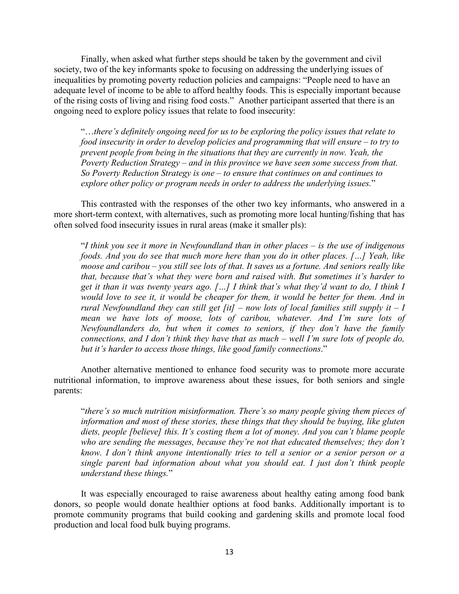Finally, when asked what further steps should be taken by the government and civil society, two of the key informants spoke to focusing on addressing the underlying issues of inequalities by promoting poverty reduction policies and campaigns: "People need to have an adequate level of income to be able to afford healthy foods. This is especially important because of the rising costs of living and rising food costs." Another participant asserted that there is an ongoing need to explore policy issues that relate to food insecurity:

"…*there's definitely ongoing need for us to be exploring the policy issues that relate to food insecurity in order to develop policies and programming that will ensure – to try to prevent people from being in the situations that they are currently in now. Yeah, the Poverty Reduction Strategy – and in this province we have seen some success from that. So Poverty Reduction Strategy is one – to ensure that continues on and continues to explore other policy or program needs in order to address the underlying issues.*"

This contrasted with the responses of the other two key informants, who answered in a more short-term context, with alternatives, such as promoting more local hunting/fishing that has often solved food insecurity issues in rural areas (make it smaller pls):

"*I think you see it more in Newfoundland than in other places – is the use of indigenous foods. And you do see that much more here than you do in other places. […] Yeah, like moose and caribou – you still see lots of that. It saves us a fortune. And seniors really like that, because that's what they were born and raised with. But sometimes it's harder to get it than it was twenty years ago. […] I think that's what they'd want to do, I think I would love to see it, it would be cheaper for them, it would be better for them. And in rural Newfoundland they can still get [it] – now lots of local families still supply it – I mean we have lots of moose, lots of caribou, whatever. And I'm sure lots of Newfoundlanders do, but when it comes to seniors, if they don't have the family connections, and I don't think they have that as much – well I'm sure lots of people do, but it's harder to access those things, like good family connections*."

Another alternative mentioned to enhance food security was to promote more accurate nutritional information, to improve awareness about these issues, for both seniors and single parents:

"*there's so much nutrition misinformation. There's so many people giving them pieces of information and most of these stories, these things that they should be buying, like gluten diets, people [believe] this. It's costing them a lot of money. And you can't blame people who are sending the messages, because they're not that educated themselves; they don't know. I don't think anyone intentionally tries to tell a senior or a senior person or a single parent bad information about what you should eat. I just don't think people understand these things.*"

It was especially encouraged to raise awareness about healthy eating among food bank donors, so people would donate healthier options at food banks. Additionally important is to promote community programs that build cooking and gardening skills and promote local food production and local food bulk buying programs.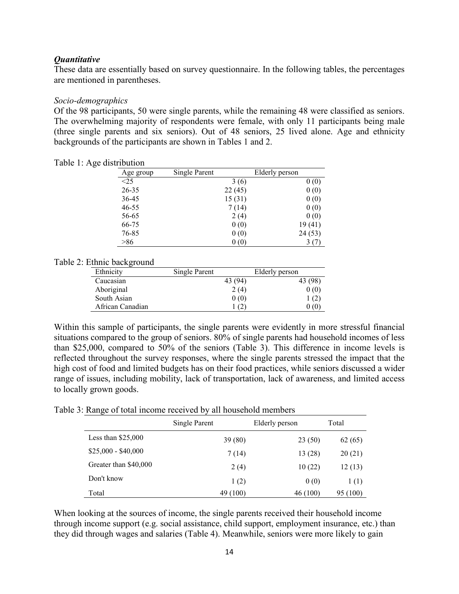# *Quantitative*

These data are essentially based on survey questionnaire. In the following tables, the percentages are mentioned in parentheses.

## *Socio-demographics*

Of the 98 participants, 50 were single parents, while the remaining 48 were classified as seniors. The overwhelming majority of respondents were female, with only 11 participants being male (three single parents and six seniors). Out of 48 seniors, 25 lived alone. Age and ethnicity backgrounds of the participants are shown in Tables 1 and 2.

| Age group | Single Parent |        | Elderly person |         |
|-----------|---------------|--------|----------------|---------|
| $\leq$ 25 |               | 3(6)   |                | 0(0)    |
| 26-35     |               | 22(45) |                | 0(0)    |
| 36-45     |               | 15(31) |                | 0(0)    |
| 46-55     |               | 7 (14) |                | 0(0)    |
| 56-65     |               | 2(4)   |                | 0(0)    |
| 66-75     |               | 0(0)   |                | 19(41)  |
| 76-85     |               | 0(0)   |                | 24 (53) |
| >86       |               | 0(0)   |                | (7)     |

Table 1: Age distribution

#### Table 2: Ethnic background

| Ethnicity        | Single Parent |         | Elderly person |
|------------------|---------------|---------|----------------|
| Caucasian        |               | 43 (94) | 43 (98)        |
| Aboriginal       |               | 2(4)    | 0(0)           |
| South Asian      |               | 0(0)    | 1(2)           |
| African Canadian |               | (2)     | $0\,(0)$       |

Within this sample of participants, the single parents were evidently in more stressful financial situations compared to the group of seniors. 80% of single parents had household incomes of less than \$25,000, compared to 50% of the seniors (Table 3). This difference in income levels is reflected throughout the survey responses, where the single parents stressed the impact that the high cost of food and limited budgets has on their food practices, while seniors discussed a wider range of issues, including mobility, lack of transportation, lack of awareness, and limited access to locally grown goods.

Table 3: Range of total income received by all household members

|                       | Single Parent | Elderly person | Total    |
|-----------------------|---------------|----------------|----------|
| Less than $$25,000$   | 39(80)        | 23(50)         | 62(65)   |
| $$25,000 - $40,000$   | 7(14)         | 13(28)         | 20(21)   |
| Greater than \$40,000 | 2(4)          | 10(22)         | 12(13)   |
| Don't know            | 1(2)          | 0(0)           | 1(1)     |
| Total                 | 49 (100)      | 46 (100)       | 95 (100) |

When looking at the sources of income, the single parents received their household income through income support (e.g. social assistance, child support, employment insurance, etc.) than they did through wages and salaries (Table 4). Meanwhile, seniors were more likely to gain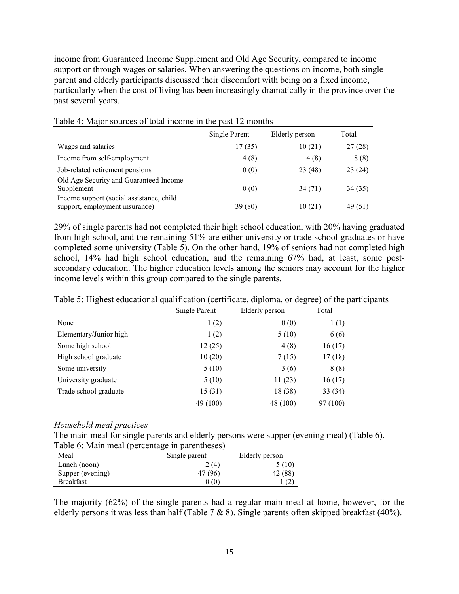income from Guaranteed Income Supplement and Old Age Security, compared to income support or through wages or salaries. When answering the questions on income, both single parent and elderly participants discussed their discomfort with being on a fixed income, particularly when the cost of living has been increasingly dramatically in the province over the past several years.

|                                          | Single Parent | Elderly person | Total   |
|------------------------------------------|---------------|----------------|---------|
| Wages and salaries                       | 17(35)        | 10(21)         | 27(28)  |
| Income from self-employment              | 4(8)          | 4(8)           | 8(8)    |
| Job-related retirement pensions          | 0(0)          | 23 (48)        | 23(24)  |
| Old Age Security and Guaranteed Income   |               |                |         |
| Supplement                               | 0(0)          | 34(71)         | 34 (35) |
| Income support (social assistance, child |               |                |         |
| support, employment insurance)           | 39 (80)       | 10 (21)        | 49 (51) |

Table 4: Major sources of total income in the past 12 months

29% of single parents had not completed their high school education, with 20% having graduated from high school, and the remaining 51% are either university or trade school graduates or have completed some university (Table 5). On the other hand, 19% of seniors had not completed high school, 14% had high school education, and the remaining 67% had, at least, some postsecondary education. The higher education levels among the seniors may account for the higher income levels within this group compared to the single parents.

|                        | Single Parent | Elderly person | Total    |
|------------------------|---------------|----------------|----------|
| None                   | 1(2)          | 0(0)           | 1(1)     |
| Elementary/Junior high | 1(2)          | 5(10)          | 6(6)     |
| Some high school       | 12(25)        | 4(8)           | 16(17)   |
| High school graduate   | 10(20)        | 7(15)          | 17(18)   |
| Some university        | 5(10)         | 3(6)           | 8(8)     |
| University graduate    | 5(10)         | 11(23)         | 16(17)   |
| Trade school graduate  | 15(31)        | 18 (38)        | 33(34)   |
|                        | 49 (100)      | 48 (100)       | 97 (100) |

Table 5: Highest educational qualification (certificate, diploma, or degree) of the participants

#### *Household meal practices*

The main meal for single parents and elderly persons were supper (evening meal) (Table 6).

| Table 6: Main meal (percentage in parentheses) |               |                |  |  |  |  |
|------------------------------------------------|---------------|----------------|--|--|--|--|
| Meal                                           | Single parent | Elderly person |  |  |  |  |
| Lunch (noon)                                   | 2(4)          | 5(10)          |  |  |  |  |
| Supper (evening)                               | 47 (96)       | 42 (88)        |  |  |  |  |
| <b>Breakfast</b>                               | 0(0)          |                |  |  |  |  |
|                                                |               |                |  |  |  |  |

The majority (62%) of the single parents had a regular main meal at home, however, for the elderly persons it was less than half (Table 7 & 8). Single parents often skipped breakfast (40%).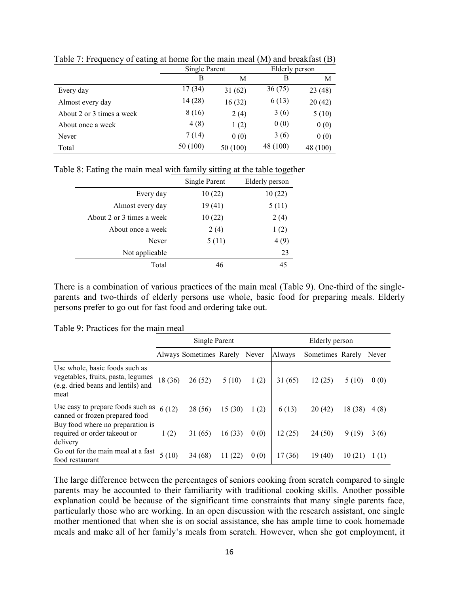|                           | Single Parent |          | Elderly person |          |  |
|---------------------------|---------------|----------|----------------|----------|--|
|                           | B             | М        | В              | М        |  |
| Every day                 | 17(34)        | 31(62)   | 36(75)         | 23(48)   |  |
| Almost every day          | 14 (28)       | 16(32)   | 6(13)          | 20(42)   |  |
| About 2 or 3 times a week | 8(16)         | 2(4)     | 3(6)           | 5(10)    |  |
| About once a week         | 4(8)          | 1(2)     | 0(0)           | 0(0)     |  |
| Never                     | 7(14)         | 0(0)     | 3(6)           | 0(0)     |  |
| Total                     | 50 (100)      | 50 (100) | 48 (100)       | 48 (100) |  |

Table 7: Frequency of eating at home for the main meal (M) and breakfast (B)

|  | Table 8: Eating the main meal with family sitting at the table together |  |  |  |
|--|-------------------------------------------------------------------------|--|--|--|
|  |                                                                         |  |  |  |

|                           | Single Parent | Elderly person |
|---------------------------|---------------|----------------|
| Every day                 | 10(22)        | 10(22)         |
| Almost every day          | 19(41)        | 5(11)          |
| About 2 or 3 times a week | 10(22)        | 2(4)           |
| About once a week         | 2(4)          | 1(2)           |
| Never                     | 5(11)         | 4(9)           |
| Not applicable            |               | 23             |
| Total                     | 46            | 45             |

There is a combination of various practices of the main meal (Table 9). One-third of the singleparents and two-thirds of elderly persons use whole, basic food for preparing meals. Elderly persons prefer to go out for fast food and ordering take out.

Table 9: Practices for the main meal

|                                                                                                                    | Single Parent |                               |        |      | Elderly person |                  |         |       |
|--------------------------------------------------------------------------------------------------------------------|---------------|-------------------------------|--------|------|----------------|------------------|---------|-------|
|                                                                                                                    |               | Always Sometimes Rarely Never |        |      | Always         | Sometimes Rarely |         | Never |
| Use whole, basic foods such as<br>vegetables, fruits, pasta, legumes<br>(e.g. dried beans and lentils) and<br>meat | 18 (36)       | 26(52)                        | 5(10)  | 1(2) | 31(65)         | 12(25)           | 5 (10)  | 0(0)  |
| Use easy to prepare foods such as<br>canned or frozen prepared food                                                | 6(12)         | 28 (56)                       | 15(30) | 1(2) | 6(13)          | 20(42)           | 18 (38) | 4 (8) |
| Buy food where no preparation is<br>required or order takeout or<br>delivery                                       | 1(2)          | 31 (65)                       | 16(33) | 0(0) | 12(25)         | 24(50)           | 9(19)   | 3(6)  |
| Go out for the main meal at a fast<br>food restaurant                                                              | 5(10)         | 34 (68)                       | 11(22) | 0(0) | 17 (36)        | 19 (40)          | 10(21)  | 1 (1) |

The large difference between the percentages of seniors cooking from scratch compared to single parents may be accounted to their familiarity with traditional cooking skills. Another possible explanation could be because of the significant time constraints that many single parents face, particularly those who are working. In an open discussion with the research assistant, one single mother mentioned that when she is on social assistance, she has ample time to cook homemade meals and make all of her family's meals from scratch. However, when she got employment, it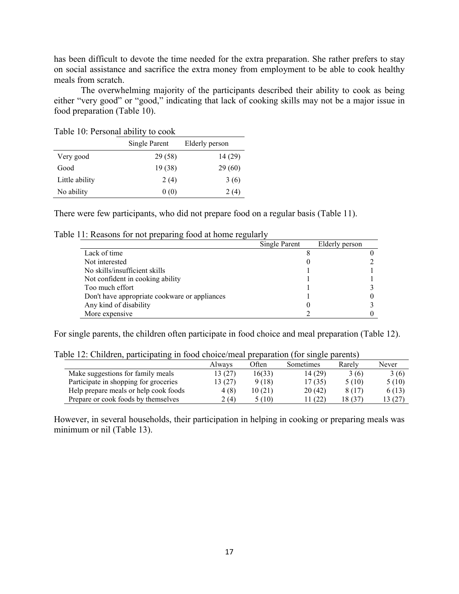has been difficult to devote the time needed for the extra preparation. She rather prefers to stay on social assistance and sacrifice the extra money from employment to be able to cook healthy meals from scratch.

The overwhelming majority of the participants described their ability to cook as being either "very good" or "good," indicating that lack of cooking skills may not be a major issue in food preparation (Table 10).

|                | Single Parent | Elderly person |
|----------------|---------------|----------------|
| Very good      | 29 (58)       | 14 (29)        |
| Good           | 19(38)        | 29 (60)        |
| Little ability | 2(4)          | 3(6)           |
| No ability     | 0(0)          | 2(4)           |

Table 10: Personal ability to cook

There were few participants, who did not prepare food on a regular basis (Table 11).

|                                               | Single Parent | Elderly person |  |
|-----------------------------------------------|---------------|----------------|--|
| Lack of time                                  |               |                |  |
| Not interested                                |               |                |  |
| No skills/insufficient skills                 |               |                |  |
| Not confident in cooking ability              |               |                |  |
| Too much effort                               |               |                |  |
| Don't have appropriate cookware or appliances |               |                |  |
| Any kind of disability                        |               |                |  |
| More expensive                                |               |                |  |

Table 11: Reasons for not preparing food at home regularly

For single parents, the children often participate in food choice and meal preparation (Table 12).

| Table 12: Children, participating in food choice/meal preparation (for single parents) |  |  |
|----------------------------------------------------------------------------------------|--|--|
|                                                                                        |  |  |

|                                       | Always  | Often  | Sometimes | Rarely  | Never   |
|---------------------------------------|---------|--------|-----------|---------|---------|
| Make suggestions for family meals     | 13 (27) | 16(33) | 14 (29)   | 3(6)    | 3(6)    |
| Participate in shopping for groceries | 13 (27) | 9(18)  | 17(35)    | 5(10)   | 5(10)   |
| Help prepare meals or help cook foods | 4(8)    | 10(21) | 20(42)    | 8 (17)  | 6(13)   |
| Prepare or cook foods by themselves   | 2(4)    | 5 (10) | 11 (22)   | 18 (37) | 13 (27) |

However, in several households, their participation in helping in cooking or preparing meals was minimum or nil (Table 13).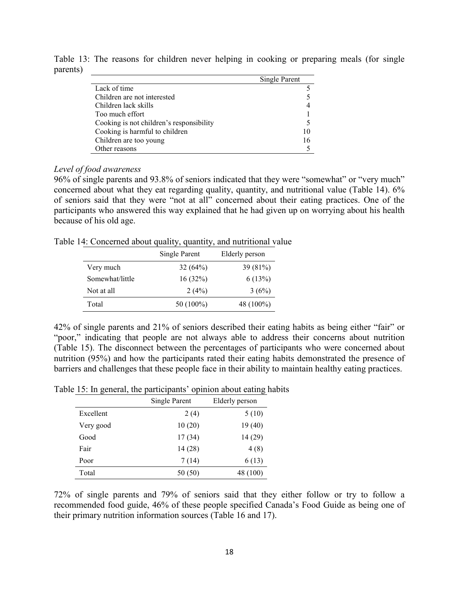|                                          | Single Parent |
|------------------------------------------|---------------|
| Lack of time                             |               |
| Children are not interested              |               |
| Children lack skills                     | 4             |
| Too much effort                          |               |
| Cooking is not children's responsibility | 5             |
| Cooking is harmful to children           | 10            |
| Children are too young                   | 16            |
| Other reasons                            |               |

Table 13: The reasons for children never helping in cooking or preparing meals (for single parents)

# *Level of food awareness*

96% of single parents and 93.8% of seniors indicated that they were "somewhat" or "very much" concerned about what they eat regarding quality, quantity, and nutritional value (Table 14). 6% of seniors said that they were "not at all" concerned about their eating practices. One of the participants who answered this way explained that he had given up on worrying about his health because of his old age.

Table 14: Concerned about quality, quantity, and nutritional value

|                 | Single Parent | Elderly person |
|-----------------|---------------|----------------|
| Very much       | 32(64%)       | $39(81\%)$     |
| Somewhat/little | 16(32%)       | 6(13%)         |
| Not at all      | 2(4%)         | 3(6%)          |
| Total           | 50 (100%)     | 48 (100%)      |

42% of single parents and 21% of seniors described their eating habits as being either "fair" or "poor," indicating that people are not always able to address their concerns about nutrition (Table 15). The disconnect between the percentages of participants who were concerned about nutrition (95%) and how the participants rated their eating habits demonstrated the presence of barriers and challenges that these people face in their ability to maintain healthy eating practices.

Table 15: In general, the participants' opinion about eating habits

|           | Single Parent | Elderly person |
|-----------|---------------|----------------|
| Excellent | 2(4)          | 5(10)          |
| Very good | 10(20)        | 19(40)         |
| Good      | 17(34)        | 14 (29)        |
| Fair      | 14 (28)       | 4(8)           |
| Poor      | 7(14)         | 6(13)          |
| Total     | 50(50)        | 48 (100)       |

72% of single parents and 79% of seniors said that they either follow or try to follow a recommended food guide, 46% of these people specified Canada's Food Guide as being one of their primary nutrition information sources (Table 16 and 17).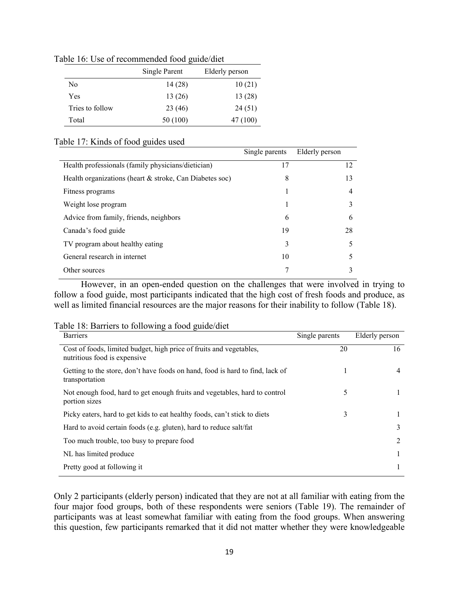|                 | Single Parent | Elderly person |
|-----------------|---------------|----------------|
| No              | 14(28)        | 10(21)         |
| Yes             | 13(26)        | 13(28)         |
| Tries to follow | 23 (46)       | 24 (51)        |
| Total           | 50 (100)      | 47 (100)       |

Table 16: Use of recommended food guide/diet

## Table 17: Kinds of food guides used

|                                                            | Single parents | Elderly person |
|------------------------------------------------------------|----------------|----------------|
| Health professionals (family physicians/dietician)         | 17             | 12             |
| Health organizations (heart $\&$ stroke, Can Diabetes soc) | 8              | 13             |
| Fitness programs                                           |                | 4              |
| Weight lose program                                        |                |                |
| Advice from family, friends, neighbors                     | 6              | 6              |
| Canada's food guide                                        | 19             | 28             |
| TV program about healthy eating                            | 3              | 5              |
| General research in internet                               | 10             |                |
| Other sources                                              |                |                |

However, in an open-ended question on the challenges that were involved in trying to follow a food guide, most participants indicated that the high cost of fresh foods and produce, as well as limited financial resources are the major reasons for their inability to follow (Table 18).

| Table 18: Barriers to following a food guide/diet |
|---------------------------------------------------|
|---------------------------------------------------|

| <b>Barriers</b>                                                                                     | Single parents | Elderly person |
|-----------------------------------------------------------------------------------------------------|----------------|----------------|
| Cost of foods, limited budget, high price of fruits and vegetables,<br>nutritious food is expensive | 20             | 16             |
| Getting to the store, don't have foods on hand, food is hard to find, lack of<br>transportation     |                | 4              |
| Not enough food, hard to get enough fruits and vegetables, hard to control<br>portion sizes         | 5              |                |
| Picky eaters, hard to get kids to eat healthy foods, can't stick to diets                           | 3              |                |
| Hard to avoid certain foods (e.g. gluten), hard to reduce salt/fat                                  |                | 3              |
| Too much trouble, too busy to prepare food                                                          |                | 2              |
| NL has limited produce                                                                              |                |                |
| Pretty good at following it                                                                         |                |                |

Only 2 participants (elderly person) indicated that they are not at all familiar with eating from the four major food groups, both of these respondents were seniors (Table 19). The remainder of participants was at least somewhat familiar with eating from the food groups. When answering this question, few participants remarked that it did not matter whether they were knowledgeable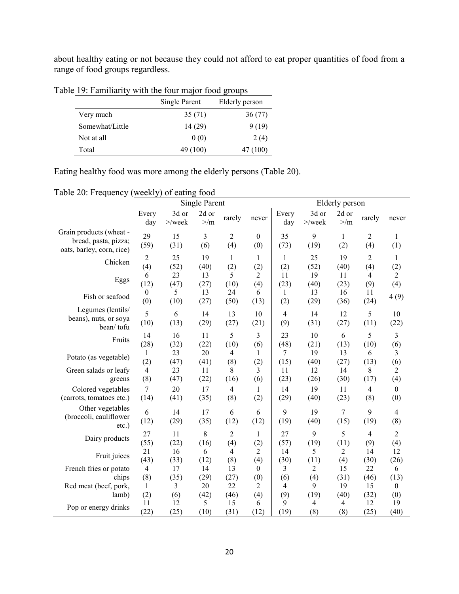about healthy eating or not because they could not afford to eat proper quantities of food from a range of food groups regardless.

|                 | Single Parent | Elderly person |
|-----------------|---------------|----------------|
| Very much       | 35(71)        | 36(77)         |
| Somewhat/Little | 14 (29)       | 9(19)          |
| Not at all      | 0(0)          | 2(4)           |
| Total           | 49 (100)      | 47 (100)       |

Table 19: Familiarity with the four major food groups

Eating healthy food was more among the elderly persons (Table 20).

|  |  |  |  | Table 20: Frequency (weekly) of eating food |  |
|--|--|--|--|---------------------------------------------|--|
|--|--|--|--|---------------------------------------------|--|

|                                                                              | <b>Single Parent</b>    |                                |                   |                       | Elderly person      |                       |                               |                               |                       |                   |
|------------------------------------------------------------------------------|-------------------------|--------------------------------|-------------------|-----------------------|---------------------|-----------------------|-------------------------------|-------------------------------|-----------------------|-------------------|
|                                                                              | Every<br>day            | 3d or<br>$>\!\!/\mathrm{week}$ | 2d or<br>$>$ /m   | rarely                | never               | Every<br>day          | 3d or<br>$>\!\!$ /week        | 2d or<br>$>$ /m               | rarely                | never             |
| Grain products (wheat -<br>bread, pasta, pizza;<br>oats, barley, corn, rice) | 29<br>(59)              | 15<br>(31)                     | 3<br>(6)          | $\overline{2}$<br>(4) | $\mathbf{0}$<br>(0) | 35<br>(73)            | 9<br>(19)                     | $\mathbf{1}$<br>(2)           | $\overline{2}$<br>(4) | 1<br>(1)          |
| Chicken                                                                      | $\boldsymbol{2}$        | 25                             | 19                | $\mathbf{1}$          | 1                   | 1                     | 25                            | 19                            | 2                     | 1                 |
|                                                                              | (4)                     | (52)                           | (40)              | (2)                   | (2)                 | (2)                   | (52)                          | (40)                          | (4)                   | (2)               |
| Eggs                                                                         | 6                       | 23                             | 13                | 5                     | 2                   | 11                    | 19                            | 11                            | 4                     | 2                 |
|                                                                              | (12)                    | (47)                           | (27)              | (10)                  | (4)                 | (23)                  | (40)                          | (23)                          | (9)                   | (4)               |
| Fish or seafood                                                              | $\boldsymbol{0}$<br>(0) | 5<br>(10)                      | 13<br>(27)        | 24<br>(50)            | 6<br>(13)           | 1<br>(2)              | 13<br>(29)                    | 16<br>(36)                    | 11<br>(24)            | 4(9)              |
| Legumes (lentils/<br>beans), nuts, or soya<br>bean/tofu                      | 5<br>(10)               | 6<br>(13)                      | 14<br>(29)        | 13<br>(27)            | 10<br>(21)          | $\overline{4}$<br>(9) | 14<br>(31)                    | 12<br>(27)                    | 5<br>(11)             | 10<br>(22)        |
| Fruits                                                                       | 14                      | 16                             | 11                | 5                     | 3                   | 23                    | 10                            | 6                             | 5                     | 3                 |
|                                                                              | (28)                    | (32)                           | (22)              | (10)                  | (6)                 | (48)                  | (21)                          | (13)                          | (10)                  | (6)               |
| Potato (as vegetable)                                                        | 1                       | 23                             | 20                | $\overline{4}$        | 1                   | 7                     | 19                            | 13                            | 6                     | 3                 |
|                                                                              | (2)                     | (47)                           | (41)              | (8)                   | (2)                 | (15)                  | (40)                          | (27)                          | (13)                  | (6)               |
| Green salads or leafy                                                        | $\overline{4}$          | 23                             | 11                | 8                     | 3                   | 11                    | 12                            | 14                            | 8                     | 2                 |
| greens                                                                       | (8)                     | (47)                           | (22)              | (16)                  | (6)                 | (23)                  | (26)                          | (30)                          | (17)                  | (4)               |
| Colored vegetables                                                           | $\overline{7}$          | 20                             | 17                | $\overline{4}$        | $\mathbf{1}$        | 14                    | 19                            | 11                            | $\overline{4}$        | $\boldsymbol{0}$  |
| (carrots, tomatoes etc.)                                                     | (14)                    | (41)                           | (35)              | (8)                   | (2)                 | (29)                  | (40)                          | (23)                          | (8)                   | (0)               |
| Other vegetables<br>(broccoli, cauliflower<br>$etc.$ )                       | 6<br>(12)               | 14<br>(29)                     | 17<br>(35)        | 6<br>(12)             | 6<br>(12)           | 9<br>(19)             | 19<br>(40)                    | 7<br>(15)                     | 9<br>(19)             | 4<br>(8)          |
| Dairy products                                                               | 27                      | 11                             | 8                 | $\overline{2}$        | 1                   | 27                    | 9                             | 5                             | 4                     | $\overline{c}$    |
|                                                                              | (55)                    | (22)                           | (16)              | (4)                   | (2)                 | (57)                  | (19)                          | (11)                          | (9)                   | (4)               |
| Fruit juices                                                                 | 21                      | 16                             | 6                 | $\overline{4}$        | 2                   | 14                    | 5                             | 2                             | 14                    | 12                |
|                                                                              | (43)                    | (33)                           | (12)              | (8)                   | (4)                 | (30)                  | (11)                          | (4)                           | (30)                  | (26)              |
| French fries or potato                                                       | $\overline{4}$          | 17                             | 14                | 13                    | $\theta$            | 3                     | $\overline{2}$                | 15                            | 22                    | 6                 |
| chips                                                                        | (8)                     | (35)                           | (29)              | (27)                  | (0)                 | (6)                   | (4)                           | (31)                          | (46)                  | (13)              |
| Red meat (beef, pork,                                                        | 1                       | 3                              | 20                | 22                    | 2                   | 4                     | 9                             | 19                            | 15                    | $\mathbf{0}$      |
| lamb)<br>Pop or energy drinks                                                | (2)<br>11<br>(22)       | (6)<br>12<br>(25)              | (42)<br>5<br>(10) | (46)<br>15<br>(31)    | (4)<br>6<br>(12)    | (9)<br>9<br>(19)      | (19)<br>$\overline{4}$<br>(8) | (40)<br>$\overline{4}$<br>(8) | (32)<br>12<br>(25)    | (0)<br>19<br>(40) |
|                                                                              |                         |                                |                   |                       |                     |                       |                               |                               |                       |                   |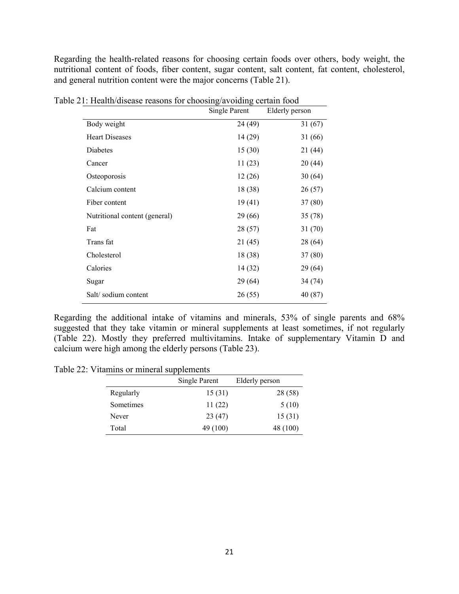Regarding the health-related reasons for choosing certain foods over others, body weight, the nutritional content of foods, fiber content, sugar content, salt content, fat content, cholesterol, and general nutrition content were the major concerns (Table 21).

|                               | <b>Single Parent</b> | Elderly person |
|-------------------------------|----------------------|----------------|
| Body weight                   | 24 (49)              | 31(67)         |
| <b>Heart Diseases</b>         | 14 (29)              | 31 (66)        |
| Diabetes                      | 15(30)               | 21 (44)        |
| Cancer                        | 11(23)               | 20 (44)        |
| Osteoporosis                  | 12(26)               | 30(64)         |
| Calcium content               | 18 (38)              | 26 (57)        |
| Fiber content                 | 19(41)               | 37(80)         |
| Nutritional content (general) | 29 (66)              | 35(78)         |
| Fat                           | 28 (57)              | 31(70)         |
| Trans fat                     | 21(45)               | 28 (64)        |
| Cholesterol                   | 18 (38)              | 37(80)         |
| Calories                      | 14 (32)              | 29 (64)        |
| Sugar                         | 29(64)               | 34 (74)        |
| Salt/sodium content           | 26(55)               | 40 (87)        |
|                               |                      |                |

Table 21: Health/disease reasons for choosing/avoiding certain food

Regarding the additional intake of vitamins and minerals, 53% of single parents and 68% suggested that they take vitamin or mineral supplements at least sometimes, if not regularly (Table 22). Mostly they preferred multivitamins. Intake of supplementary Vitamin D and calcium were high among the elderly persons (Table 23).

Table 22: Vitamins or mineral supplements

|           | Single Parent | Elderly person |
|-----------|---------------|----------------|
| Regularly | 15(31)        | 28 (58)        |
| Sometimes | 11(22)        | 5(10)          |
| Never     | 23 (47)       | 15(31)         |
| Total     | 49 (100)      | 48 (100)       |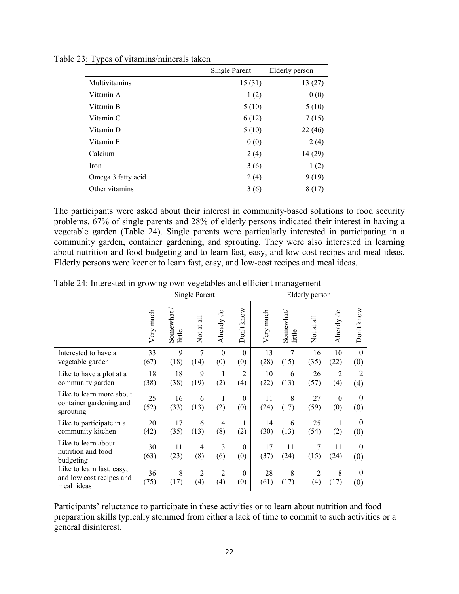|                      | <b>Single Parent</b><br>Elderly person |         |
|----------------------|----------------------------------------|---------|
| <b>Multivitamins</b> | 15(31)                                 | 13(27)  |
| Vitamin A            | 1(2)                                   | 0(0)    |
| Vitamin B            | 5(10)                                  | 5(10)   |
| Vitamin C            | 6(12)                                  | 7(15)   |
| Vitamin D            | 5(10)                                  | 22(46)  |
| Vitamin E            | 0(0)                                   | 2(4)    |
| Calcium              | 2(4)                                   | 14 (29) |
| Iron                 | 3(6)                                   | 1(2)    |
| Omega 3 fatty acid   | 2(4)                                   | 9(19)   |
| Other vitamins       | 3(6)                                   | 8(17)   |

Table 23: Types of vitamins/minerals taken

The participants were asked about their interest in community-based solutions to food security problems. 67% of single parents and 28% of elderly persons indicated their interest in having a vegetable garden (Table 24). Single parents were particularly interested in participating in a community garden, container gardening, and sprouting. They were also interested in learning about nutrition and food budgeting and to learn fast, easy, and low-cost recipes and meal ideas. Elderly persons were keener to learn fast, easy, and low-cost recipes and meal ideas.

|                                                                     |            | ▱                  | Single Parent         |                       |                       | Elderly person |                                                                  |            |                         |                         |
|---------------------------------------------------------------------|------------|--------------------|-----------------------|-----------------------|-----------------------|----------------|------------------------------------------------------------------|------------|-------------------------|-------------------------|
|                                                                     | Very much  | Somewhat<br>little | Not at all            | Already do            | Don't know            | Very much      | $\begin{array}{ll} \text{Somewhat} \\ \text{little} \end{array}$ | Not at all | Already do              | Don't know              |
| Interested to have a<br>vegetable garden                            | 33<br>(67) | 9<br>(18)          | 7<br>(14)             | $\theta$<br>(0)       | $\theta$<br>(0)       | 13<br>(28)     | 7<br>(15)                                                        | 16<br>(35) | 10<br>(22)              | $\boldsymbol{0}$<br>(0) |
| Like to have a plot at a<br>community garden                        | 18<br>(38) | 18<br>(38)         | 9<br>(19)             | $\mathbf{1}$<br>(2)   | $\overline{2}$<br>(4) | 10<br>(22)     | 6<br>(13)                                                        | 26<br>(57) | $\overline{2}$<br>(4)   | $\overline{2}$<br>(4)   |
| Like to learn more about<br>container gardening and<br>sprouting    | 25<br>(52) | 16<br>(33)         | 6<br>(13)             | 1<br>(2)              | $\theta$<br>(0)       | 11<br>(24)     | 8<br>(17)                                                        | 27<br>(59) | $\boldsymbol{0}$<br>(0) | $\theta$<br>(0)         |
| Like to participate in a<br>community kitchen                       | 20<br>(42) | 17<br>(35)         | 6<br>(13)             | $\overline{4}$<br>(8) | 1<br>(2)              | 14<br>(30)     | 6<br>(13)                                                        | 25<br>(54) | 1<br>(2)                | $\theta$<br>(0)         |
| Like to learn about<br>nutrition and food<br>budgeting              | 30<br>(63) | 11<br>(23)         | $\overline{4}$<br>(8) | 3<br>(6)              | $\theta$<br>(0)       | 17<br>(37)     | 11<br>(24)                                                       | 7<br>(15)  | 11<br>(24)              | $\theta$<br>(0)         |
| Like to learn fast, easy,<br>and low cost recipes and<br>meal ideas | 36<br>(75) | 8<br>(17)          | $\overline{2}$<br>(4) | $\overline{2}$<br>(4) | $\mathbf{0}$<br>(0)   | 28<br>(61)     | 8<br>(17)                                                        | 2<br>(4)   | 8<br>(17)               | $\theta$<br>(0)         |

Table 24: Interested in growing own vegetables and efficient management

Participants' reluctance to participate in these activities or to learn about nutrition and food preparation skills typically stemmed from either a lack of time to commit to such activities or a general disinterest.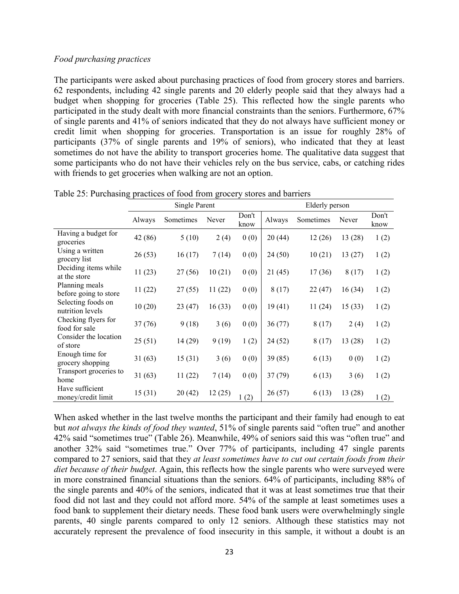## *Food purchasing practices*

The participants were asked about purchasing practices of food from grocery stores and barriers. 62 respondents, including 42 single parents and 20 elderly people said that they always had a budget when shopping for groceries (Table 25). This reflected how the single parents who participated in the study dealt with more financial constraints than the seniors. Furthermore, 67% of single parents and 41% of seniors indicated that they do not always have sufficient money or credit limit when shopping for groceries. Transportation is an issue for roughly 28% of participants (37% of single parents and 19% of seniors), who indicated that they at least sometimes do not have the ability to transport groceries home. The qualitative data suggest that some participants who do not have their vehicles rely on the bus service, cabs, or catching rides with friends to get groceries when walking are not an option.

|                                         | <b>Single Parent</b> |           |        |               | Elderly person |           |         |               |
|-----------------------------------------|----------------------|-----------|--------|---------------|----------------|-----------|---------|---------------|
|                                         | Always               | Sometimes | Never  | Don't<br>know | Always         | Sometimes | Never   | Don't<br>know |
| Having a budget for<br>groceries        | 42 (86)              | 5(10)     | 2(4)   | 0(0)          | 20(44)         | 12(26)    | 13 (28) | 1(2)          |
| Using a written<br>grocery list         | 26(53)               | 16(17)    | 7(14)  | 0(0)          | 24(50)         | 10(21)    | 13(27)  | 1(2)          |
| Deciding items while<br>at the store    | 11(23)               | 27(56)    | 10(21) | 0(0)          | 21(45)         | 17(36)    | 8(17)   | 1(2)          |
| Planning meals<br>before going to store | 11(22)               | 27(55)    | 11(22) | 0(0)          | 8(17)          | 22(47)    | 16(34)  | 1(2)          |
| Selecting foods on<br>nutrition levels  | 10(20)               | 23(47)    | 16(33) | 0(0)          | 19(41)         | 11(24)    | 15(33)  | 1(2)          |
| Checking flyers for<br>food for sale    | 37(76)               | 9(18)     | 3(6)   | 0(0)          | 36(77)         | 8(17)     | 2(4)    | 1(2)          |
| Consider the location<br>of store       | 25(51)               | 14 (29)   | 9(19)  | 1(2)          | 24(52)         | 8(17)     | 13 (28) | 1(2)          |
| Enough time for<br>grocery shopping     | 31(63)               | 15(31)    | 3(6)   | 0(0)          | 39(85)         | 6(13)     | 0(0)    | 1(2)          |
| Transport groceries to<br>home          | 31(63)               | 11(22)    | 7(14)  | 0(0)          | 37(79)         | 6(13)     | 3(6)    | 1(2)          |
| Have sufficient<br>money/credit limit   | 15(31)               | 20(42)    | 12(25) | 1(2)          | 26(57)         | 6(13)     | 13(28)  | 1(2)          |

Table 25: Purchasing practices of food from grocery stores and barriers

When asked whether in the last twelve months the participant and their family had enough to eat but *not always the kinds of food they wanted*, 51% of single parents said "often true" and another 42% said "sometimes true" (Table 26). Meanwhile, 49% of seniors said this was "often true" and another 32% said "sometimes true." Over 77% of participants, including 47 single parents compared to 27 seniors, said that they *at least sometimes have to cut out certain foods from their diet because of their budget*. Again, this reflects how the single parents who were surveyed were in more constrained financial situations than the seniors. 64% of participants, including 88% of the single parents and 40% of the seniors, indicated that it was at least sometimes true that their food did not last and they could not afford more. 54% of the sample at least sometimes uses a food bank to supplement their dietary needs. These food bank users were overwhelmingly single parents, 40 single parents compared to only 12 seniors. Although these statistics may not accurately represent the prevalence of food insecurity in this sample, it without a doubt is an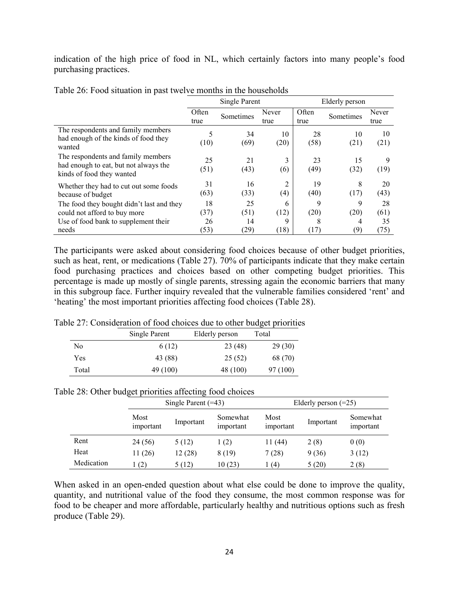indication of the high price of food in NL, which certainly factors into many people's food purchasing practices.

|                                                                                                          |               | Single Parent |               | Elderly person |            |               |
|----------------------------------------------------------------------------------------------------------|---------------|---------------|---------------|----------------|------------|---------------|
|                                                                                                          | Often<br>true | Sometimes     | Never<br>true | Often<br>true  | Sometimes  | Never<br>true |
| The respondents and family members<br>had enough of the kinds of food they<br>wanted                     | 5<br>(10)     | 34<br>(69)    | 10<br>(20)    | 28<br>(58)     | 10<br>(21) | 10<br>(21)    |
| The respondents and family members<br>had enough to eat, but not always the<br>kinds of food they wanted | 25<br>(51)    | 21<br>(43)    | 3<br>(6)      | 23<br>(49)     | 15<br>(32) | 9<br>(19)     |
| Whether they had to cut out some foods<br>because of budget                                              | 31<br>(63)    | 16<br>(33)    | 2<br>(4)      | 19<br>(40)     | 8<br>(17)  | 20<br>(43)    |
| The food they bought didn't last and they<br>could not afford to buy more                                | 18<br>(37)    | 25<br>(51)    | 6<br>(12)     | 9<br>(20)      | 9<br>(20)  | 28<br>(61)    |
| Use of food bank to supplement their<br>needs                                                            | 26<br>(53)    | 14<br>(29)    | 9<br>(18)     | 8<br>(17)      | 4<br>(9)   | 35<br>(75)    |

Table 26: Food situation in past twelve months in the households

The participants were asked about considering food choices because of other budget priorities, such as heat, rent, or medications (Table 27). 70% of participants indicate that they make certain food purchasing practices and choices based on other competing budget priorities. This percentage is made up mostly of single parents, stressing again the economic barriers that many in this subgroup face. Further inquiry revealed that the vulnerable families considered 'rent' and 'heating' the most important priorities affecting food choices (Table 28).

Table 27: Consideration of food choices due to other budget priorities

|       | Single Parent | Elderly person | Total    |
|-------|---------------|----------------|----------|
| No    | 6 (12)        | 23(48)         | 29(30)   |
| Yes   | 43 (88)       | 25(52)         | 68 (70)  |
| Total | 49 (100)      | 48 (100)       | 97 (100) |

|            |                   | Single Parent $(=43)$ |                       | Elderly person $(=25)$ |           |                       |
|------------|-------------------|-----------------------|-----------------------|------------------------|-----------|-----------------------|
|            | Most<br>important | Important             | Somewhat<br>important | Most<br>important      | Important | Somewhat<br>important |
| Rent       | 24 (56)           | 5(12)                 | 1(2)                  | 11 (44)                | 2(8)      | 0(0)                  |
| Heat       | 11(26)            | 12(28)                | 8 (19)                | 7(28)                  | 9(36)     | 3(12)                 |
| Medication | $\perp(2)$        | 5 (12)                | 10(23)                | l (4)                  | 5(20)     | 2(8)                  |

When asked in an open-ended question about what else could be done to improve the quality, quantity, and nutritional value of the food they consume, the most common response was for food to be cheaper and more affordable, particularly healthy and nutritious options such as fresh produce (Table 29).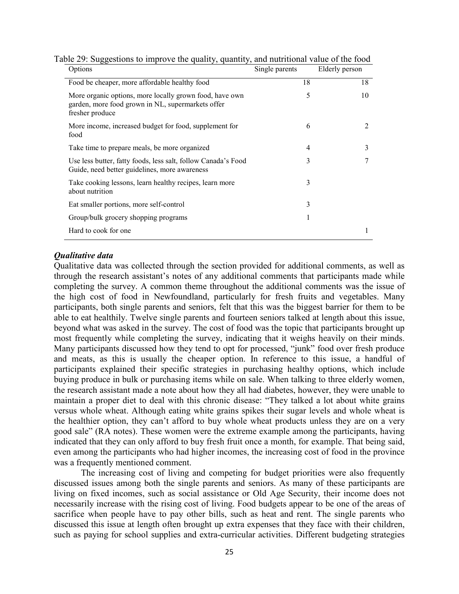| Options                                                                                                                         | Single parents | Elderly person |
|---------------------------------------------------------------------------------------------------------------------------------|----------------|----------------|
| Food be cheaper, more affordable healthy food                                                                                   | 18             | 18             |
| More organic options, more locally grown food, have own<br>garden, more food grown in NL, supermarkets offer<br>fresher produce | 5              | 10             |
| More income, increased budget for food, supplement for<br>food                                                                  | 6              | 2              |
| Take time to prepare meals, be more organized                                                                                   | 4              | 3              |
| Use less butter, fatty foods, less salt, follow Canada's Food<br>Guide, need better guidelines, more awareness                  | 3              | 7              |
| Take cooking lessons, learn healthy recipes, learn more<br>about nutrition                                                      | 3              |                |
| Eat smaller portions, more self-control                                                                                         | 3              |                |
| Group/bulk grocery shopping programs                                                                                            |                |                |
| Hard to cook for one                                                                                                            |                | 1              |

Table 29: Suggestions to improve the quality, quantity, and nutritional value of the food

#### *Qualitative data*

Qualitative data was collected through the section provided for additional comments, as well as through the research assistant's notes of any additional comments that participants made while completing the survey. A common theme throughout the additional comments was the issue of the high cost of food in Newfoundland, particularly for fresh fruits and vegetables. Many participants, both single parents and seniors, felt that this was the biggest barrier for them to be able to eat healthily. Twelve single parents and fourteen seniors talked at length about this issue, beyond what was asked in the survey. The cost of food was the topic that participants brought up most frequently while completing the survey, indicating that it weighs heavily on their minds. Many participants discussed how they tend to opt for processed, "junk" food over fresh produce and meats, as this is usually the cheaper option. In reference to this issue, a handful of participants explained their specific strategies in purchasing healthy options, which include buying produce in bulk or purchasing items while on sale. When talking to three elderly women, the research assistant made a note about how they all had diabetes, however, they were unable to maintain a proper diet to deal with this chronic disease: "They talked a lot about white grains versus whole wheat. Although eating white grains spikes their sugar levels and whole wheat is the healthier option, they can't afford to buy whole wheat products unless they are on a very good sale" (RA notes). These women were the extreme example among the participants, having indicated that they can only afford to buy fresh fruit once a month, for example. That being said, even among the participants who had higher incomes, the increasing cost of food in the province was a frequently mentioned comment.

The increasing cost of living and competing for budget priorities were also frequently discussed issues among both the single parents and seniors. As many of these participants are living on fixed incomes, such as social assistance or Old Age Security, their income does not necessarily increase with the rising cost of living. Food budgets appear to be one of the areas of sacrifice when people have to pay other bills, such as heat and rent. The single parents who discussed this issue at length often brought up extra expenses that they face with their children, such as paying for school supplies and extra-curricular activities. Different budgeting strategies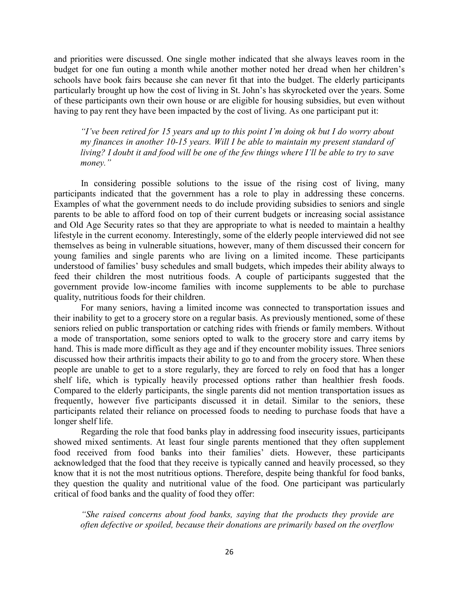and priorities were discussed. One single mother indicated that she always leaves room in the budget for one fun outing a month while another mother noted her dread when her children's schools have book fairs because she can never fit that into the budget. The elderly participants particularly brought up how the cost of living in St. John's has skyrocketed over the years. Some of these participants own their own house or are eligible for housing subsidies, but even without having to pay rent they have been impacted by the cost of living. As one participant put it:

*"I've been retired for 15 years and up to this point I'm doing ok but I do worry about my finances in another 10-15 years. Will I be able to maintain my present standard of living? I doubt it and food will be one of the few things where I'll be able to try to save money."*

In considering possible solutions to the issue of the rising cost of living, many participants indicated that the government has a role to play in addressing these concerns. Examples of what the government needs to do include providing subsidies to seniors and single parents to be able to afford food on top of their current budgets or increasing social assistance and Old Age Security rates so that they are appropriate to what is needed to maintain a healthy lifestyle in the current economy. Interestingly, some of the elderly people interviewed did not see themselves as being in vulnerable situations, however, many of them discussed their concern for young families and single parents who are living on a limited income. These participants understood of families' busy schedules and small budgets, which impedes their ability always to feed their children the most nutritious foods. A couple of participants suggested that the government provide low-income families with income supplements to be able to purchase quality, nutritious foods for their children.

For many seniors, having a limited income was connected to transportation issues and their inability to get to a grocery store on a regular basis. As previously mentioned, some of these seniors relied on public transportation or catching rides with friends or family members. Without a mode of transportation, some seniors opted to walk to the grocery store and carry items by hand. This is made more difficult as they age and if they encounter mobility issues. Three seniors discussed how their arthritis impacts their ability to go to and from the grocery store. When these people are unable to get to a store regularly, they are forced to rely on food that has a longer shelf life, which is typically heavily processed options rather than healthier fresh foods. Compared to the elderly participants, the single parents did not mention transportation issues as frequently, however five participants discussed it in detail. Similar to the seniors, these participants related their reliance on processed foods to needing to purchase foods that have a longer shelf life.

Regarding the role that food banks play in addressing food insecurity issues, participants showed mixed sentiments. At least four single parents mentioned that they often supplement food received from food banks into their families' diets. However, these participants acknowledged that the food that they receive is typically canned and heavily processed, so they know that it is not the most nutritious options. Therefore, despite being thankful for food banks, they question the quality and nutritional value of the food. One participant was particularly critical of food banks and the quality of food they offer:

*"She raised concerns about food banks, saying that the products they provide are often defective or spoiled, because their donations are primarily based on the overflow*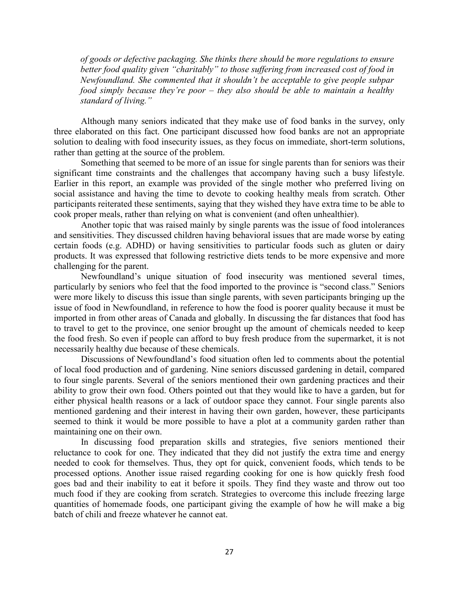*of goods or defective packaging. She thinks there should be more regulations to ensure better food quality given "charitably" to those suffering from increased cost of food in Newfoundland. She commented that it shouldn't be acceptable to give people subpar food simply because they're poor – they also should be able to maintain a healthy standard of living."* 

Although many seniors indicated that they make use of food banks in the survey, only three elaborated on this fact. One participant discussed how food banks are not an appropriate solution to dealing with food insecurity issues, as they focus on immediate, short-term solutions, rather than getting at the source of the problem.

Something that seemed to be more of an issue for single parents than for seniors was their significant time constraints and the challenges that accompany having such a busy lifestyle. Earlier in this report, an example was provided of the single mother who preferred living on social assistance and having the time to devote to cooking healthy meals from scratch. Other participants reiterated these sentiments, saying that they wished they have extra time to be able to cook proper meals, rather than relying on what is convenient (and often unhealthier).

Another topic that was raised mainly by single parents was the issue of food intolerances and sensitivities. They discussed children having behavioral issues that are made worse by eating certain foods (e.g. ADHD) or having sensitivities to particular foods such as gluten or dairy products. It was expressed that following restrictive diets tends to be more expensive and more challenging for the parent.

Newfoundland's unique situation of food insecurity was mentioned several times, particularly by seniors who feel that the food imported to the province is "second class." Seniors were more likely to discuss this issue than single parents, with seven participants bringing up the issue of food in Newfoundland, in reference to how the food is poorer quality because it must be imported in from other areas of Canada and globally. In discussing the far distances that food has to travel to get to the province, one senior brought up the amount of chemicals needed to keep the food fresh. So even if people can afford to buy fresh produce from the supermarket, it is not necessarily healthy due because of these chemicals.

Discussions of Newfoundland's food situation often led to comments about the potential of local food production and of gardening. Nine seniors discussed gardening in detail, compared to four single parents. Several of the seniors mentioned their own gardening practices and their ability to grow their own food. Others pointed out that they would like to have a garden, but for either physical health reasons or a lack of outdoor space they cannot. Four single parents also mentioned gardening and their interest in having their own garden, however, these participants seemed to think it would be more possible to have a plot at a community garden rather than maintaining one on their own.

In discussing food preparation skills and strategies, five seniors mentioned their reluctance to cook for one. They indicated that they did not justify the extra time and energy needed to cook for themselves. Thus, they opt for quick, convenient foods, which tends to be processed options. Another issue raised regarding cooking for one is how quickly fresh food goes bad and their inability to eat it before it spoils. They find they waste and throw out too much food if they are cooking from scratch. Strategies to overcome this include freezing large quantities of homemade foods, one participant giving the example of how he will make a big batch of chili and freeze whatever he cannot eat.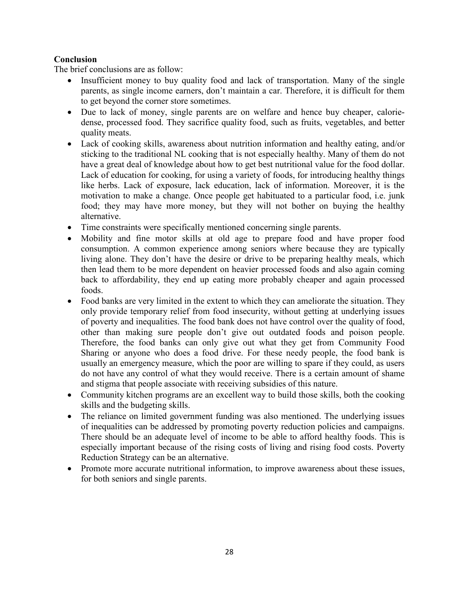# **Conclusion**

The brief conclusions are as follow:

- Insufficient money to buy quality food and lack of transportation. Many of the single parents, as single income earners, don't maintain a car. Therefore, it is difficult for them to get beyond the corner store sometimes.
- Due to lack of money, single parents are on welfare and hence buy cheaper, caloriedense, processed food. They sacrifice quality food, such as fruits, vegetables, and better quality meats.
- Lack of cooking skills, awareness about nutrition information and healthy eating, and/or sticking to the traditional NL cooking that is not especially healthy. Many of them do not have a great deal of knowledge about how to get best nutritional value for the food dollar. Lack of education for cooking, for using a variety of foods, for introducing healthy things like herbs. Lack of exposure, lack education, lack of information. Moreover, it is the motivation to make a change. Once people get habituated to a particular food, i.e. junk food; they may have more money, but they will not bother on buying the healthy alternative.
- Time constraints were specifically mentioned concerning single parents.
- x Mobility and fine motor skills at old age to prepare food and have proper food consumption. A common experience among seniors where because they are typically living alone. They don't have the desire or drive to be preparing healthy meals, which then lead them to be more dependent on heavier processed foods and also again coming back to affordability, they end up eating more probably cheaper and again processed foods.
- Food banks are very limited in the extent to which they can ameliorate the situation. They only provide temporary relief from food insecurity, without getting at underlying issues of poverty and inequalities. The food bank does not have control over the quality of food, other than making sure people don't give out outdated foods and poison people. Therefore, the food banks can only give out what they get from Community Food Sharing or anyone who does a food drive. For these needy people, the food bank is usually an emergency measure, which the poor are willing to spare if they could, as users do not have any control of what they would receive. There is a certain amount of shame and stigma that people associate with receiving subsidies of this nature.
- Community kitchen programs are an excellent way to build those skills, both the cooking skills and the budgeting skills.
- The reliance on limited government funding was also mentioned. The underlying issues of inequalities can be addressed by promoting poverty reduction policies and campaigns. There should be an adequate level of income to be able to afford healthy foods. This is especially important because of the rising costs of living and rising food costs. Poverty Reduction Strategy can be an alternative.
- Promote more accurate nutritional information, to improve awareness about these issues, for both seniors and single parents.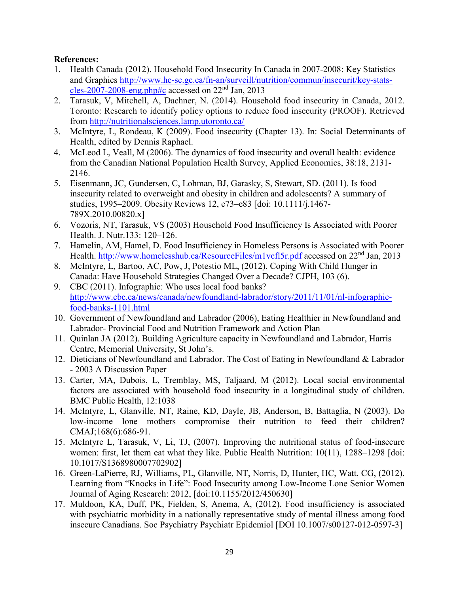# **References:**

- 1. Health Canada (2012). Household Food Insecurity In Canada in 2007-2008: Key Statistics and Graphics [http://www.hc-sc.gc.ca/fn-an/surveill/nutrition/commun/insecurit/key-stats](http://www.hc-sc.gc.ca/fn-an/surveill/nutrition/commun/insecurit/key-stats-cles-2007-2008-eng.php#c)[cles-2007-2008-eng.php#c](http://www.hc-sc.gc.ca/fn-an/surveill/nutrition/commun/insecurit/key-stats-cles-2007-2008-eng.php#c) accessed on  $22<sup>nd</sup>$  Jan, 2013
- 2. Tarasuk, V, Mitchell, A, Dachner, N. (2014). Household food insecurity in Canada, 2012. Toronto: Research to identify policy options to reduce food insecurity (PROOF). Retrieved from<http://nutritionalsciences.lamp.utoronto.ca/>
- 3. McIntyre, L, Rondeau, K (2009). Food insecurity (Chapter 13). In: Social Determinants of Health, edited by Dennis Raphael.
- 4. McLeod L, Veall, M (2006). The dynamics of food insecurity and overall health: evidence from the Canadian National Population Health Survey, Applied Economics, 38:18, 2131- 2146.
- 5. Eisenmann, JC, Gundersen, C, Lohman, BJ, Garasky, S, Stewart, SD. (2011). Is food insecurity related to overweight and obesity in children and adolescents? A summary of studies, 1995–2009. Obesity Reviews 12, e73–e83 [doi: 10.1111/j.1467- 789X.2010.00820.x]
- 6. Vozoris, NT, Tarasuk, VS (2003) Household Food Insufficiency Is Associated with Poorer Health. J. Nutr.133: 120–126.
- 7. Hamelin, AM, Hamel, D. Food Insufficiency in Homeless Persons is Associated with Poorer Health.<http://www.homelesshub.ca/ResourceFiles/m1vcfl5r.pdf> accessed on 22<sup>nd</sup> Jan, 2013
- 8. McIntyre, L, Bartoo, AC, Pow, J, Potestio ML, (2012). Coping With Child Hunger in Canada: Have Household Strategies Changed Over a Decade? CJPH, 103 (6).
- 9. CBC (2011). Infographic: Who uses local food banks? [http://www.cbc.ca/news/canada/newfoundland-labrador/story/2011/11/01/nl-infographic](http://www.cbc.ca/news/canada/newfoundland-labrador/story/2011/11/01/nl-infographic-food-banks-1101.html)[food-banks-1101.html](http://www.cbc.ca/news/canada/newfoundland-labrador/story/2011/11/01/nl-infographic-food-banks-1101.html)
- 10. Government of Newfoundland and Labrador (2006), Eating Healthier in Newfoundland and Labrador- Provincial Food and Nutrition Framework and Action Plan
- 11. Quinlan JA (2012). Building Agriculture capacity in Newfoundland and Labrador, Harris Centre, Memorial University, St John's.
- 12. Dieticians of Newfoundland and Labrador. The Cost of Eating in Newfoundland & Labrador - 2003 A Discussion Paper
- 13. Carter, MA, Dubois, L, Tremblay, MS, Taljaard, M (2012). Local social environmental factors are associated with household food insecurity in a longitudinal study of children. BMC Public Health, 12:1038
- 14. McIntyre, L, Glanville, NT, Raine, KD, Dayle, JB, Anderson, B, Battaglia, N (2003). Do low-income lone mothers compromise their nutrition to feed their children? CMAJ;168(6):686-91.
- 15. McIntyre L, Tarasuk, V, Li, TJ, (2007). Improving the nutritional status of food-insecure women: first, let them eat what they like. Public Health Nutrition: 10(11), 1288–1298 [doi: 10.1017/S1368980007702902]
- 16. Green-LaPierre, RJ, Williams, PL, Glanville, NT, Norris, D, Hunter, HC, Watt, CG, (2012). Learning from "Knocks in Life": Food Insecurity among Low-Income Lone Senior Women Journal of Aging Research: 2012, [doi:10.1155/2012/450630]
- 17. Muldoon, KA, Duff, PK, Fielden, S, Anema, A, (2012). Food insufficiency is associated with psychiatric morbidity in a nationally representative study of mental illness among food insecure Canadians. Soc Psychiatry Psychiatr Epidemiol [DOI 10.1007/s00127-012-0597-3]